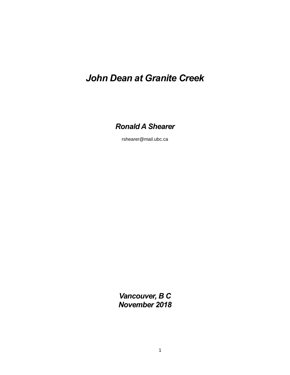# *John Dean at Granite Creek*

*Ronald A Shearer*

rshearer@mail.ubc.ca

*Vancouver, B C November 2018*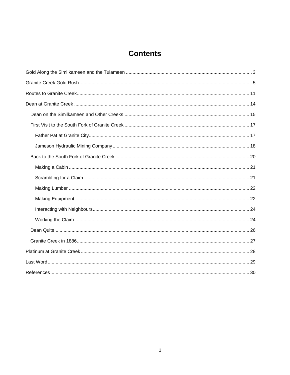## **Contents**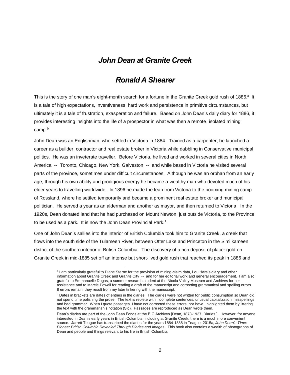## *John Dean at Granite Creek*

## *Ronald A Shearer*

This is the story of one man's eight-month search for a fortune in the Granite Creek gold rush of 1886.<sup>a</sup> It is a tale of high expectations, inventiveness, hard work and persistence in primitive circumstances, but ultimately it is a tale of frustration, exasperation and failure. Based on John Dean's daily diary for 1886, it provides interesting insights into the life of a prospector in what was then a remote, isolated mining camp.<sup>b</sup>

John Dean was an Englishman, who settled in Victoria in 1884. Trained as a carpenter, he launched a career as a builder, contractor and real estate broker in Victoria while dabbling in Conservative municipal politics. He was an inveterate traveller. Before Victoria, he lived and worked in several cities in North America -- Toronto, Chicago, New York, Galveston -- and while based in Victoria he visited several parts of the province, sometimes under difficult circumstances. Although he was an orphan from an early age, through his own ability and prodigious energy he became a wealthy man who devoted much of his elder years to travelling worldwide. In 1896 he made the leap from Victoria to the booming mining camp of Rossland, where he settled temporarily and became a prominent real estate broker and municipal politician. He served a year as an alderman and another as mayor, and then returned to Victoria. In the 1920s, Dean donated land that he had purchased on Mount Newton, just outside Victoria, to the Province to be used as a park. It is now the John Dean Provincial Park.<sup>1</sup>

One of John Dean's sallies into the interior of British Columbia took him to Granite Creek, a creek that flows into the south side of the Tulameen River, between Otter Lake and Princeton in the Similkameen district of the southern interior of British Columbia. The discovery of a rich deposit of placer gold on Granite Creek in mid-1885 set off an intense but short-lived gold rush that reached its peak in 1886 and

a I am particularly grateful to Diane Sterne for the provision of mining-claim data, Lou Hare's diary and other information about Granite Creek and Granite City -- and for her editorial work and general encouragement. I am also grateful to Emmanuelle Dugas, a summer research student at the Nicola Valley Museum and Archives for her assistance and to Marcie Powell for reading a draft of the manuscript and correcting grammatical and spelling errors. If errors remain, they result from my later tinkering with the manuscript.

 $b$  Dates in brackets are dates of entries in the diaries. The diaries were not written for public consumption so Dean did not spend time polishing the prose. The text is replete with incomplete sentences, unusual capitalization, misspellings and bad grammar. When I quote passages, I have not corrected these errors, nor have I highlighted them by littering the text with the grammarian's notation (Sic). Passages are reproduced as Dean wrote them.

Dean's diaries are part of the John Dean Fonds at the B C Archives [Dean, 1873-1937, Diaries ]. However, for anyone interested in Dean's early years in British Columbia, including at Granite Creek, there is a much more convenient source. Jarrett Teague has transcribed the diaries for the years 1884-1888 in Teague, 2015a*, John Dean's TIme: Pioneer British Columbia Revealed Through Diaries and Images*. This book also contains a wealth of photographs of Dean and people and things relevant to his life in British Columbia.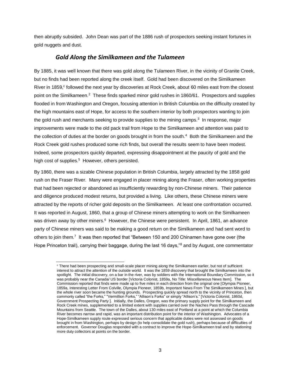then abruptly subsided. John Dean was part of the 1886 rush of prospectors seeking instant fortunes in gold nuggets and dust.

## *Gold Along the Similkameen and the Tulameen*

<span id="page-3-0"></span>By 1885, it was well known that there was gold along the Tulameen River, in the vicinity of Granite Creek, but no finds had been reported along the creek itself. Gold had been discovered on the Similkameen River in 1859,<sup>c</sup> followed the next year by discoveries at Rock Creek, about 60 miles east from the closest point on the Similkameen.<sup>2</sup> These finds sparked minor gold rushes in 1860/61. Prospectors and supplies flooded in from Washington and Oregon, focusing attention in British Columbia on the difficulty created by the high mountains east of Hope, for access to the southern interior by both prospectors wanting to join the gold rush and merchants seeking to provide supplies to the mining camps.<sup>3</sup> In response, major improvements were made to the old pack trail from Hope to the Similkameen and attention was paid to the collection of duties at the border on goods brought in from the south.<sup>4</sup> Both the Similkameen and the Rock Creek gold rushes produced some rich finds, but overall the results seem to have been modest. Indeed, some prospectors quickly departed, expressing disappointment at the paucity of gold and the high cost of supplies.<sup>5</sup> However, others persisted.

By 1860, there was a sizable Chinese population in British Columbia, largely attracted by the 1858 gold rush on the Fraser River. Many were engaged in placer mining along the Fraser, often working properties that had been rejected or abandoned as insufficiently rewarding by non-Chinese miners. Their patience and diligence produced modest returns, but provided a living. Like others, these Chinese miners were attracted by the reports of richer gold deposits on the Similkameen. At least one confrontation occurred. It was reported in August, 1860, that a group of Chinese miners attempting to work on the Similkameen was driven away by other miners.<sup>6</sup> However, the Chinese were persistent. In April, 1861, an advance party of Chinese miners was said to be making a good return on the Similkameen and had sent word to others to join them.<sup>7</sup> It was then reported that "Between 150 and 200 Chinamen have gone over (the Hope Princeton trail), carrying their baggage, during the last 16 days,"<sup>8</sup> and by August, one commentator

<sup>c</sup> There had been prospecting and small-scale placer mining along the Similkameen earlier, but not of sufficient interest to attract the attention of the outside world. It was the 1859 discovery that brought the Similkameen into the spotlight. The initial discovery, on a bar in the river, was by soldiers with the International Boundary Commission, so it was probably near the Canada/ US border [Victoria Colonist, 1859a, No Title: Miscellaneous News Item]. The Commission reported that finds were made up to five miles in each direction from the original one [Olympia Pioneer, 1859a, Interesting Letter From Colville, Olympia Pioneer, 1859b, Important News From The Similkameen Mines ], but the whole river soon became the hunting grounds. Prospecting quickly spread north to the vicinity of Princeton, then commonly called "the Forks," "Vermillion Forks," "Allison's Forks" or simply "Allison's." [Victoria Colonist, 1860d, Government Prospecting Party ]. Initially, the Dalles, Oregon, was the primary supply point for the Similkameen and Rock Creek mines, supplemented to a limited extent with supplies carried over the Naches Pass through the Cascade Mountains from Seattle. The town of the Dalles, about 130 miles east of Portland at a point at which the Columbia River becomes narrow and rapid, was an important distribution point for the interior of Washington. Advocates of a Hope-Similkameen supply route expressed serious concern that applicable duties were not assessed on goods brought in from Washington, perhaps by design (to help consolidate the gold rush), perhaps because of difficulties of enforcement. Governor Douglas responded with a contract to improve the Hope-Similkameen trail and by stationing more duty collectors at points on the border.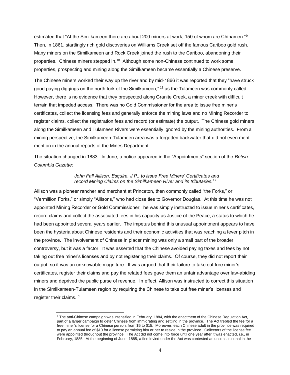estimated that "At the Similkameen there are about 200 miners at work, 150 of whom are Chinamen."<sup>9</sup> Then, in 1861, startlingly rich gold discoveries on Williams Creek set off the famous Cariboo gold rush. Many miners on the Similkameen and Rock Creek joined the rush to the Cariboo, abandoning their properties. Chinese miners stepped in.<sup>10</sup> Although some non-Chinese continued to work some properties, prospecting and mining along the Similkameen became essentially a Chinese preserve.

The Chinese miners worked their way up the river and by mid-1866 it was reported that they "have struck good paying diggings on the north fork of the Similkameen," <sup>11</sup> as the Tulameen was commonly called. However, there is no evidence that they prospected along Granite Creek, a minor creek with difficult terrain that impeded access. There was no Gold Commissioner for the area to issue free miner's certificates, collect the licensing fees and generally enforce the mining laws and no Mining Recorder to register claims, collect the registration fees and record (or estimate) the output. The Chinese gold miners along the Similkameen and Tulameen Rivers were essentially ignored by the mining authorities. From a mining perspective, the Similkameen-Tulameen area was a forgotten backwater that did not even merit mention in the annual reports of the Mines Department.

The situation changed in 1883. In June, a notice appeared in the "Appointments" section of the *British Columbia Gazette*:

#### *John Fall Allison, Esquire, J.P., to issue Free Miners' Certificates and record Mining Claims on the Similkameen River and its tributaries.<sup>12</sup>*

Allison was a pioneer rancher and merchant at Princeton, then commonly called "the Forks," or "Vermillion Forks," or simply "Allisons," who had close ties to Governor Douglas. At this time he was not appointed Mining Recorder or Gold Commissioner; he was simply instructed to issue miner's certificates, record claims and collect the associated fees in his capacity as Justice of the Peace, a status to which he had been appointed several years earlier. The impetus behind this unusual appointment appears to have been the hysteria about Chinese residents and their economic activities that was reaching a fever pitch in the province. The involvement of Chinese in placer mining was only a small part of the broader controversy, but it was a factor. It was asserted that the Chinese avoided paying taxes and fees by not taking out free miner's licenses and by not registering their claims. Of course, they did not report their output, so it was an unknowable magniture. It was argued that their failure to take out free miner's certificates, register their claims and pay the related fees gave them an unfair advantage over law-abiding miners and deprived the public purse of revenue. In effect, Allison was instructed to correct this situation in the Similkameen-Tulameen region by requiring the Chinese to take out free miner's licenses and register their claims.<sup>d</sup>

<sup>d</sup> The anti-Chinese campaign was intensified in February, 1884, with the enactment of the Chinese Regulation Act, part of a larger campaign to deter Chinese from immigrating and settling in the province. The Act trebled the fee for a free miner's license for a Chinese person, from \$5 to \$15. Moreover, each Chinese adult in the province was required to pay an annual fee of \$10 for a license permitting him or her to reside in the province. Collectors of the license fee were appointed throughout the province. The Act did not come into force until one year after it was enacted, i.e., in February, 1885. At the beginning of June, 1885, a fine levied under the Act was contested as unconstitutional in the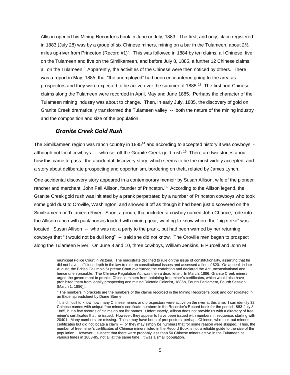Allison opened his Mining Recorder's book in June or July, 1883. The first, and only, claim registered in 1883 (July 28) was by a group of six Chinese miners, mining on a bar in the Tulameen, about 2½ miles up-river from Princeton (Record #1)<sup>e</sup>. This was followed in 1884 by ten claims, all Chinese, five on the Tulameen and five on the Similkameen, and before July 8, 1885, a further 12 Chinese claims, all on the Tulameen.<sup>f</sup> Apparently, the activities of the Chinese were then noticed by others. There was a report in May, 1885, that "the unemployed" had been encountered going to the area as prospectors and they were expected to be active over the summer of 1885.<sup>13</sup> The first non-Chinese claims along the Tulameen were recorded in April, May and June 1885. Perhaps the character of the Tulameen mining industry was about to change. Then, in early July, 1885, the discovery of gold on Granite Creek dramatically transformed the Tulameen valley -- both the nature of the mining industry and the composition and size of the population.

## *Granite Creek Gold Rush*

l

<span id="page-5-0"></span>The Similkameen region was ranch country in 1885<sup>14</sup> and according to accepted history it was cowboys although not local cowboys -- who set off the Granite Creek gold rush.<sup>15</sup> There are two stories about how this came to pass: the accidental discovery story, which seems to be the most widely accepted, and a story about deliberate prospecting and opportunism, bordering on theft, related by James Lynch.

One accidental discovery story appeared in a contemporary memoir by Susan Allison, wife of the pioneer rancher and merchant, John Fall Allison, founder of Princeton.<sup>16</sup> According to the Allison legend, the Granite Creek gold rush was initiated by a prank perpetrated by a number of Princeton cowboys who took some gold dust to Oroville, Washington, and showed it off as though it had been just discovered on the Similkameen or Tulameen River. Soon, a group, that included a cowboy named John Chance, rode into the Allison ranch with pack horses loaded with mining gear, wanting to know where the "big strike" was located. Susan Allison -- who was not a party to the prank, but had been warned by her returning cowboys that "it would not be dull long" -- said she did not know. The Oroville men began to prospect along the Tulameen River. On June 8 and 10, three cowboys, William Jenkins, E Purcell and John M

municipal Police Court in Victoria. The magistrate declined to rule on the issue of constitutionality, asserting that he did not have sufficient depth in the law to rule on constitutional issues and assessed a fine of \$20. On appeal, in late August, the British Columbia Supreme Court overturned the conviction and declared the Act unconstitutional and hence unenforceable. The Chinese Regulation Act was then a dead letter. In March, 1886, Granite Creek miners urged the government to prohibit Chinese miners from obtaining free miner's certificates, which would also have prohibited them from legally prospecting and mining [Victoria Colonist, 1886h, Fourth Parliament, Fourth Session (March 1, 1886)].

<sup>e</sup> The numbers in brackets are the numbers of the claims recorded in the Mining Recorder's book and consolidated in an Excel spreadsheet by Diane Sterne.

<sup>&</sup>lt;sup>f</sup> It is difficult to know how many Chinese miners and prospectors were active on the river at this time. I can identify 32 Chinese names with unique free miner's certificate numbers in the Recorder's Record book for the period 1883-July 8, 1885, but a few records of claims do not list names. Unfortunately, Allison does not provide us with a directory of free miner's certificates that he issued. However, they appear to have been issued with numbers in sequence, starting with 20401. Many numbers are missing. These may have been of prospectors, perhaps Chinese, who took out miner's certificates but did not locate a claim -- or they may simply be numbers that for some reason were skipped. Thus, the number of free miner's certificates of Chinese miners listed in the Record Book is not a reliable guide to the size of the population. However, I suspect that there were probably less than 50 Chinese miners active in the Tulameen at various times in 1883-85, not all at the same time. It was a small population.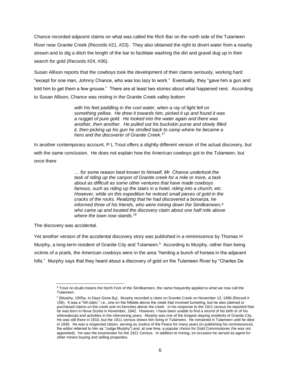Chance recorded adjacent claims on what was called the Rich Bar on the north side of the Tulameen River near Granite Creek (Records #21, #23). They also obtained the right to divert water from a nearby stream and to dig a ditch the length of the bar to facilitate washing the dirt and gravel dug up in their search for gold (Records #24, #36).

Susan Allison reports that the cowboys took the development of their claims seriously, working hard "except for one man, Johnny Chance, who was too lazy to work." Eventually, they "gave him a gun and told him to get them a few grouse." There are at least two stories about what happened next. According to Susan Allison, Chance was resting in the Granite Creek valley bottom

> *with his feet paddling in the cool water, when a ray of light fell on something yellow. He drew it towards him, picked it up and found it was a nugget of pure gold. He looked into the water again and there was another, then another. He pulled out his buckskin purse and slowly filled it, then picking up his gun he strolled back to camp where he became a hero and the discoverer of Granite Creek.<sup>17</sup>*

In another contemporary account, P L Trout offers a slightly different version of the actual discovery, but with the same conclusion. He does not explain how the American cowboys got to the Tulameen, but once there

> *… for some reason best known to himself, Mr. Chance undertook the task of riding up the canyon of Granite creek for a mile or more, a task about as difficult as some other ventures that have made cowboys famous, such as riding up the stairs in a hotel, riding into a church, etc. However, while on this expedition he noticed small pieces of gold in the cracks of the rocks. Realizing that he had discovered a bonanza, he informed three of his friends, who were mining down the Similkameen,<sup>g</sup> who came up and located the discovery claim about one half mile above*  where the town now stands.<sup>18</sup>

The discovery was accidental.

Yet another version of the accidental discovery story was published in a reminiscence by Thomas H Murphy, a long-term resident of Granite City and Tulameen.<sup>h</sup> According to Murphy, rather than being victims of a prank, the American cowboys were in the area "herding a bunch of horses in the adjacent hills." Murphy says that they heard about a discovery of gold on the Tulameen River by "Charles De

l <sup>g</sup> Trout no doubt means the North Fork of the Similkameen, the name frequently applied to what we now call the Tulameen.

h [Murphy, 1905a, In Days Gone By]. Murphy recorded a claim on Granite Creek on November 13, 1896 (Record # 156). It was a "hill claim," i.e., one on the hillside above the creek that involved tunneling, but he also claimed or purchased claims on the creek and on benches above the creek. In his response to the 1911 census he reported that he was born in Nova Scotia in November, 1842. However, I have been unable to find a record of his birth or of his whereabouts and activities in the intervening years. Murphy was one of the longest-staying residents of Granite City. He was still there in 1910, but the 1911 census shows him living in Tulameen. He remained in Tulameen until he died in 1930. He was a respected citizen, serving as Justice of the Peace for many years (in publishing his reminiscences, the editor referred to him as "Judge Murphy") and, at one time, a popular choice for Gold Commissioner (he was not appointed). He was the enumerator for the 1921 Census. In addition to mining, on occasion he served as agent for other miners buying and selling properties.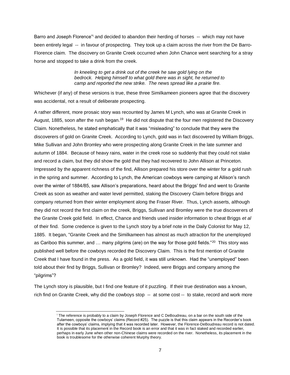Barro and Joseph Florence" and decided to abandon their herding of horses -- which may not have been entirely legal -- in favour of prospecting. They took up a claim across the river from the De Barro-Florence claim. The discovery on Granite Creek occurred when John Chance went searching for a stray horse and stopped to take a drink from the creek.

> *In kneeling to get a drink out of the creek he saw gold lying on the bedrock. Helping himself to what gold there was in sight, he returned to camp and reported the new strike. The news spread like a prairie fire.*

Whichever (if any) of these versions is true, these three Similkameen pioneers agree that the discovery was accidental, not a result of deliberate prospecting.

A rather different, more prosaic story was recounted by James M Lynch, who was at Granite Creek in August, 1885, soon after the rush began.<sup>19</sup> He did not dispute that the four men registered the Discovery Claim. Nonetheless, he stated emphatically that it was "misleading" to conclude that they were the discoverers of gold on Granite Creek. According to Lynch, gold was in fact discovered by William Briggs, Mike Sullivan and John Bromley who were prospecting along Granite Creek in the late summer and autumn of 1884. Because of heavy rains, water in the creek rose so suddenly that they could not stake and record a claim, but they did show the gold that they had recovered to John Allison at Princeton. Impressed by the apparent richness of the find, Allison prepared his store over the winter for a gold rush in the spring and summer. According to Lynch, the American cowboys were camping at Allison's ranch over the winter of 1884/85, saw Allison's preparations, heard about the Briggs' find and went to Granite Creek as soon as weather and water level permitted, staking the Discovery Claim before Briggs and company returned from their winter employment along the Fraser River. Thus, Lynch asserts, although they did not record the first claim on the creek, Briggs, Sullivan and Bromley were the true discoverers of the Granite Creek gold field. In effect, Chance and friends used insider information to cheat Briggs *et al* of their find. Some credence is given to the Lynch story by a brief note in the Daily Colonist for May 12, 1885. It began, "Granite Creek and the Similkameen has almost as much attraction for the unemployed as Cariboo this summer, and ... many pilgrims (are) on the way for those gold fields."<sup>20</sup> This story was published well before the cowboys recorded the Discovery Claim. This is the first mention of Granite Creek that I have found in the press. As a gold field, it was still unknown. Had the "unemployed" been told about their find by Briggs, Sullivan or Bromley? Indeed, were Briggs and company among the "pilgrims"?

The Lynch story is plausible, but I find one feature of it puzzling. If their true destination was a known, rich find on Granite Creek, why did the cowboys stop -- at some cost -- to stake, record and work more

l <sup>i</sup> The reference is probably to a claim by Joseph Florence and C DeBoudreau, on a bar on the south side of the Tulameen, opposite the cowboys' claims (Record #25). The puzzle is that this claim appears in the Recorder's book after the cowboys' claims, implying that it was recorded later. However, the Florence-DeBoudreau record is not dated. It is possible that its placement in the Record book is an error and that it was in fact staked and recorded earlier, perhaps in early June when other non-Chinese claims were recorded on the river. Nonetheless, its placement in the book is troublesome for the otherwise coherent Murphy theory.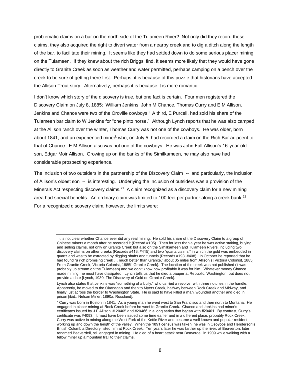problematic claims on a bar on the north side of the Tulameen River? Not only did they record these claims, they also acquired the right to divert water from a nearby creek and to dig a ditch along the length of the bar, to facilitate their mining. It seems like they had settled down to do some serious placer mining on the Tulameen. If they knew about the rich Briggs' find, it seems more likely that they would have gone directly to Granite Creek as soon as weather and water permitted, perhaps camping on a bench over the creek to be sure of getting there first. Perhaps, it is because of this puzzle that historians have accepted the Allison-Trout story. Alternatively, perhaps it is because it is more romantic.

I don't know which story of the discovery is true, but one fact is certain. Four men registered the Discovery Claim on July 8, 1885: William Jenkins, John M Chance, Thomas Curry and E M Allison. Jenkins and Chance were two of the Oroville cowboys.<sup>j</sup> A third, E Purcell, had sold his share of the Tulameen bar claim to W Jenkins for "one pinto horse." Although Lynch reports that he was also camped at the Allison ranch over the winter, Thomas Curry was not one of the cowboys. He was older, born about 1841, and an experienced miner<sup>k</sup> who, on July 5, had recorded a claim on the Rich Bar adjacent to that of Chance. E M Allison also was not one of the cowboys. He was John Fall Allison's 16-year-old son, Edgar Moir Allison. Growing up on the banks of the Similkameen, he may also have had considerable prospecting experience.

The inclusion of two outsiders in the partnership of the Discovery Claim -- and particularly, the inclusion of Allison's oldest son -- is interesting. Underlying the inclusion of outsiders was a provision of the Minerals Act respecting discovery claims.<sup>21</sup> A claim recognized as a discovery claim for a new mining area had special benefits. An ordinary claim was limited to 100 feet per partner along a creek bank.<sup>22</sup> For a recognized discovery claim, however, the limits were:

It is not clear whether Chance ever did any real mining. He sold his share of the Discovery Claim to a group of Chinese miners a month after he recorded it (Record #105). Then for less than a year he was active staking, buying and selling claims, not only on Granite Creek but also on the Similkameen and Tulameen Rivers, including two discovery claims on other creeks (Records #413, #415) and two "quartz claims," in which the gold was embedded in quartz and was to be extracted by digging shafts and tunnels (Records #193, #408). In October he reported that he had found "a rich promising creek … much better than Granite," about 35 miles from Allison's [Victoria Colonist, 1885j, From Granite Creek, Victoria Colonist, 1885f, Granite Creek]. The location of the creek was not published (it was probably up stream on the Tulameen) and we don't know how profitable it was for him. Whatever money Chance made mining, he must have dissipated. Lynch tells us that he died a pauper at Republic, Washington, but does not provide a date [Lynch, 1930, The Discovery of Gold on Granite Creek].

Lynch also states that Jenkins was "something of a bully," who carried a revolver with three notches in the handle. Apparently, he moved to the Okanagan and then to Myers Creek, halfway between Rock Creek and Midway, and finally just across the border to Washington State. He is said to have killed a man, wounded another and died in prison [ibid., Nelson Miner, 1890a, Rossland].

<sup>k</sup> Curry was born in Boston in 1841. As a young man he went west to San Francisco and then north to Montana. He engaged in placer mining at Rock Creek before he went to Granite Creek. Chance and Jenkins had miner's certificates issued by J F Allison, # 20465 and #20466 in a long series that began with #20401. By contrast, Curry's certificate was #4093. It must have been issued some time earlier and in a different place, probably Rock Creek. Curry was active in mining along the West Fork of the Kettle River and became a well known and popular resident, working up and down the length of the valley. When the 1891 census was taken, he was in Osoyoos and Henderson's British Columbia Directory listed him at Rock Creek. Ten years later he was farther up the river, at Beaverton, later renamed Beaverdell, still engaged in mining. He died of a heart attack near Beaverdell in 1909 while walking with a fellow miner up a mountain trail to their claims.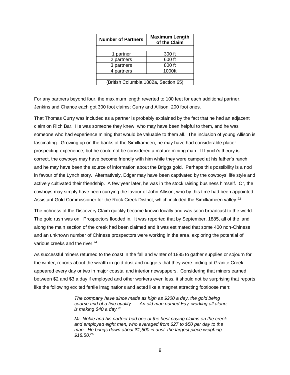| <b>Number of Partners</b>            | <b>Maximum Length</b><br>of the Claim |  |  |  |  |
|--------------------------------------|---------------------------------------|--|--|--|--|
|                                      |                                       |  |  |  |  |
| 1 partner                            | 300 ft                                |  |  |  |  |
| 2 partners                           | 600 ft                                |  |  |  |  |
| 3 partners                           | 800 ft                                |  |  |  |  |
| 4 partners                           | 1000ft                                |  |  |  |  |
|                                      |                                       |  |  |  |  |
| (British Columbia 1882a, Section 65) |                                       |  |  |  |  |

For any partners beyond four, the maximum length reverted to 100 feet for each additional partner. Jenkins and Chance each got 300 foot claims; Curry and Allison, 200 foot ones.

That Thomas Curry was included as a partner is probably explained by the fact that he had an adjacent claim on Rich Bar. He was someone they knew, who may have been helpful to them, and he was someone who had experience mining that would be valuable to them all. The inclusion of young Allison is fascinating. Growing up on the banks of the Similkameen, he may have had considerable placer prospecting experience, but he could not be considered a mature mining man. If Lynch's theory is correct, the cowboys may have become friendly with him while they were camped at his father's ranch and he may have been the source of information about the Briggs gold. Perhaps this possibility is a nod in favour of the Lynch story. Alternatively, Edgar may have been captivated by the cowboys' life style and actively cultivated their friendship. A few year later, he was in the stock raising business himself. Or, the cowboys may simply have been currying the favour of John Allison, who by this time had been appointed Assistant Gold Commissioner for the Rock Creek District, which included the Similkameen valley.<sup>23</sup>

The richness of the Discovery Claim quickly became known locally and was soon broadcast to the world. The gold rush was on. Prospectors flooded in. It was reported that by September, 1885, all of the land along the main section of the creek had been claimed and it was estimated that some 400 non-Chinese and an unknown number of Chinese prospectors were working in the area, exploring the potential of various creeks and the river.<sup>24</sup>

As successful miners returned to the coast in the fall and winter of 1885 to gather supplies or sojourn for the winter, reports about the wealth in gold dust and nuggets that they were finding at Granite Creek appeared every day or two in major coastal and interior newspapers. Considering that miners earned between \$2 and \$3 a day if employed and other workers even less, it should not be surprising that reports like the following excited fertile imaginations and acted like a magnet attracting footloose men:

> *The company have since made as high as \$200 a day, the gold being coarse and of a fine quality …. An old man named Fay, working all alone, is making \$40 a day.<sup>25</sup>*

> *Mr. Noble and his partner had one of the best paying claims on the creek and employed eight men, who averaged from \$27 to \$50 per day to the man. He brings down about \$1,500 in dust, the largest piece weighing \$18.50.<sup>26</sup>*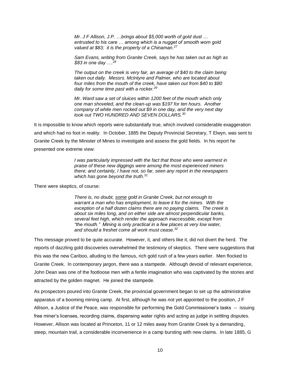*Mr. J F Allison, J.P. …brings about \$5,000 worth of gold dust … entrusted to his care … among which is a nugget of smooth worn gold valued at \$83; it is the property of a Chinaman.<sup>27</sup>*

*Sam Evans, writing from Granite Creek, says he has taken out as high as \$83 in one day ….<sup>28</sup>*

*The output on the creek is very fair, an average of \$40 to the claim being taken out daily. Messrs. McIntyre and Palmer, who are located about four miles from the mouth of the creek, have taken out from \$40 to \$80 daily for some time past with a rocker.<sup>29</sup>* 

*Mr. Ward saw a set of sluices within 1200 feet of the mouth which only one man shoveled, and the clean-up was \$197 for ten hours. Another company of white men rocked out \$9 in one day, and the very next day took out TWO HUNDRED AND SEVEN DOLLARS.<sup>30</sup>*

It is impossible to know which reports were substantially true, which involved considerable exaggeration and which had no foot in reality. In October, 1885 the Deputy Provincial Secretary, T Elwyn, was sent to Granite Creek by the Minister of Mines to investigate and assess the gold fields. In his report he presented one extreme view:

> *I was particularly impressed with the fact that those who were warmest in praise of these new diggings were among the most experienced miners there; and certainly, I have not, so far, seen any report in the newspapers which has gone beyond the truth.<sup>31</sup>*

There were skeptics, of course:

*There is, no doubt, some gold in Granite Creek, but not enough to warrant a man who has employment, to leave it for the mines. With the exception of a half dozen claims there are no paying claims. The creek is about six miles long, and on either side are almost perpendicular banks, several feet high, which render the approach inaccessible, except from "the mouth." Mining is only practical in a few places at very low water, and should a freshet come all work must cease.<sup>32</sup>*

This message proved to be quite accurate. However, it, and others like it, did not divert the herd. The reports of dazzling gold discoveries overwhelmed the testimony of skeptics. There were suggestions that this was the new Cariboo, alluding to the famous, rich gold rush of a few years earlier. Men flocked to Granite Creek. In contemporary jargon, there was a stampede. Although devoid of relevant experience, John Dean was one of the footloose men with a fertile imagination who was captivated by the stories and attracted by the golden magnet. He joined the stampede.

As prospectors poured into Granite Creek, the provincial government began to set up the administrative apparatus of a booming mining camp. At first, although he was not yet appointed to the position, J F Allison, a Justice of the Peace, was responsible for performing the Gold Commissioner's tasks -- issuing free miner's licenses, recording claims, dispensing water rights and acting as judge in settling disputes. However, Allison was located at Princeton, 11 or 12 miles away from Granite Creek by a demanding, steep, mountain trail, a considerable inconvenience in a camp bursting with new claims. In late 1885, G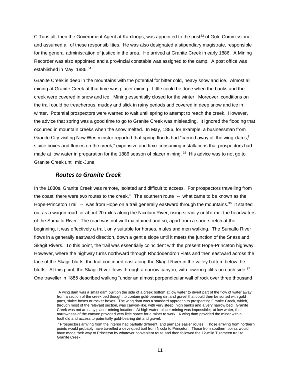C Tunstall, then the Government Agent at Kamloops, was appointed to the post<sup>33</sup> of Gold Commissioner and assumed all of these responsibilities. He was also designated a stipendiary magistrate, responsible for the general administration of justice in the area. He arrived at Granite Creek in early 1886. A Mining Recorder was also appointed and a provincial constable was assigned to the camp. A post office was established in May, 1886.<sup>34</sup>

Granite Creek is deep in the mountains with the potential for bitter cold, heavy snow and ice. Almost all mining at Granite Creek at that time was placer mining. Little could be done when the banks and the creek were covered in snow and ice. Mining essentially closed for the winter. Moreover, conditions on the trail could be treacherous, muddy and slick in rainy periods and covered in deep snow and ice in winter. Potential prospectors were warned to wait until spring to attempt to reach the creek. However, the advice that spring was a good time to go to Granite Creek was misleading. It ignored the flooding that occurred in mountain creeks when the snow melted. In May, 1886, for example, a businessman from Granite City visiting New Westminster reported that spring floods had "carried away all the wing-dams," sluice boxes and flumes on the creek," expensive and time-consuming installations that prospectors had made at low water in preparation for the 1886 season of placer mining. 35 His advice was to not go to Granite Creek until mid-June.

## <span id="page-11-1"></span>*Routes to Granite Creek*

<span id="page-11-0"></span>In the 1880s, Granite Creek was remote, isolated and difficult to access. For prospectors travelling from the coast, there were two routes to the creek.<sup>m</sup> The southern route -- what came to be known as the Hope-Princeton Trail -- was from Hope on a trail generally eastward through the mountains.<sup>36</sup> It started out as a wagon road for about 20 miles along the Nicolum River, rising steadily until it met the headwaters of the Sumallo River. The road was not well maintained and so, apart from a short stretch at the beginning, it was effectively a trail, only suitable for horses, mules and men walking. The Sumallo River flows in a generally eastward direction, down a gentle slope until it meets the junction of the Snass and Skagit Rivers. To this point, the trail was essentially coincident with the present Hope-Princeton highway. However, where the highway turns northward through Rhododendron Flats and then eastward across the face of the Skagit bluffs, the trail continued east along the Skagit River in the valley bottom below the bluffs. At this point, the Skagit River flows through a narrow canyon, with towering cliffs on each side.<sup>37</sup> One traveller in 1885 described walking "under an almost perpendicular wall of rock over three thousand

l <sup>l</sup> A wing dam was a small dam built on the side of a creek bottom at low water to divert part of the flow of water away from a section of the creek bed thought to contain gold-bearing dirt and gravel that could then be sorted with gold pans, sluice boxes or rocker boxes. The wing dam was a standard approach to prospecting Granite Creek, which, through most of the relevant section, was canyon-like, with very steep, high banks and a very narrow bed. Granite Creek was not an easy placer-mining location. At high water, placer mining was impossible; at low water, the narrowness of the canyon provided very little space for a miner to work. A wing dam provided the miner with a foothold and access to potentially gold-bearing dirt and gravel.

m Prospectors arriving from the interior had partially different, and perhaps easier routes. Those arriving from northern points would probably have travelled a developed trail from Nicola to Princeton. Those from southern points would have made their way to Princeton by whatever convenient route and then followed the 12-mile Tulameen trail to Granite Creek.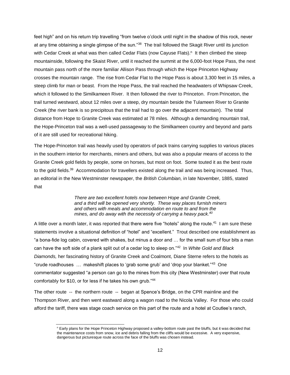feet high" and on his return trip travelling "from twelve o'clock until night in the shadow of this rock, never at any time obtaining a single glimpse of the sun."<sup>38</sup> The trail followed the Skagit River until its junction with Cedar Creek at what was then called Cedar Flats (now Cayuse Flats).<sup>n</sup> It then climbed the steep mountainside, following the Skaist River, until it reached the summit at the 6,000-foot Hope Pass, the next mountain pass north of the more familiar Allison Pass through which the Hope Princeton Highway crosses the mountain range. The rise from Cedar Flat to the Hope Pass is about 3,300 feet in 15 miles, a steep climb for man or beast. From the Hope Pass, the trail reached the headwaters of Whipsaw Creek, which it followed to the Similkameen River. It then followed the river to Princeton. From Princeton, the trail turned westward, about 12 miles over a steep, dry mountain beside the Tulameen River to Granite Creek (the river bank is so precipitous that the trail had to go over the adjacent mountain). The total distance from Hope to Granite Creek was estimated at 78 miles. Although a demanding mountain trail, the Hope-Princeton trail was a well-used passageway to the Similkameen country and beyond and parts of it are still used for recreational hiking.

The Hope-Princeton trail was heavily used by operators of pack trains carrying supplies to various places in the southern interior for merchants, miners and others, but was also a popular means of access to the Granite Creek gold fields by people, some on horses, but most on foot. Some touted it as the best route to the gold fields.<sup>39</sup> Accommodation for travellers existed along the trail and was being increased. Thus, an editorial in the New Westminster newspaper, the *British Columbian,* in late November, 1885, stated that

> *There are two excellent hotels now between Hope and Granite Creek, and a third will be opened very shortly. These way places furnish miners and others with meals and accommodation en route to and from the mines, and do away with the necessity of carrying a heavy pack.<sup>40</sup>*

A little over a month later, it was reported that there were five "hotels" along the route.<sup>41</sup> I am sure these statements involve a situational definition of "hotel" and "excellent." Trout described one establishment as "a bona-fide log cabin, covered with shakes, but minus a door and … for the small sum of four bits a man can have the soft side of a plank split out of a cedar log to sleep on."<sup>42</sup> In *White Gold and Black Diamonds,* her fascinating history of Granite Creek and Coalmont, Diane Sterne refers to the hotels as "crude roadhouses … makeshift places to 'grab some grub' and 'drop your blanket."<sup>43</sup> One commentator suggested "a person can go to the mines from this city (New Westminster) over that route comfortably for \$10, or for less if he takes his own grub."<sup>44</sup>

The other route -- the northern route -- began at Spence's Bridge, on the CPR mainline and the Thompson River, and then went eastward along a wagon road to the Nicola Valley. For those who could afford the tariff, there was stage coach service on this part of the route and a hotel at Coutlee's ranch,

<sup>n</sup> Early plans for the Hope Princeton Highway proposed a valley-bottom route past the bluffs, but it was decided that the maintenance costs from snow, ice and debris falling from the cliffs would be excessive. A very expensive, dangerous but picturesque route across the face of the bluffs was chosen instead.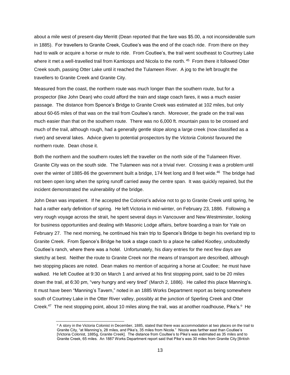about a mile west of present-day Merritt (Dean reported that the fare was \$5.00, a not inconsiderable sum in 1885). For travellers to Granite Creek, Coutlee's was the end of the coach ride. From there on they had to walk or acquire a horse or mule to ride. From Coutlee's, the trail went southeast to Courtney Lake where it met a well-travelled trail from Kamloops and Nicola to the north. <sup>45</sup> From there it followed Otter Creek south, passing Otter Lake until it reached the Tulameen River. A jog to the left brought the travellers to Granite Creek and Granite City.

Measured from the coast, the northern route was much longer than the southern route, but for a prospector (like John Dean) who could afford the train and stage coach fares, it was a much easier passage. The distance from Spence's Bridge to Granite Creek was estimated at 102 miles, but only about 60-65 miles of that was on the trail from Coultee's ranch. Moreover, the grade on the trail was much easier than that on the southern route. There was no 6,000 ft. mountain pass to be crossed and much of the trail, although rough, had a generally gentle slope along a large creek (now classified as a river) and several lakes. Advice given to potential prospectors by the *Victoria Colonist* favoured the northern route. Dean chose it.

Both the northern and the southern routes left the traveller on the north side of the Tulameen River. Granite City was on the south side. The Tulameen was not a trivial river. Crossing it was a problem until over the winter of 1885-86 the government built a bridge, 174 feet long and 8 feet wide.<sup>46</sup> The bridge had not been open long when the spring runoff carried away the centre span. It was quickly repaired, but the incident demonstrated the vulnerability of the bridge.

John Dean was impatient. If he accepted the Colonist's advice not to go to Granite Creek until spring, he had a rather early definition of spring. He left Victoria in mid-winter, on February 23, 1886. Following a very rough voyage across the strait, he spent several days in Vancouver and New Westminster, looking for business opportunities and dealing with Masonic Lodge affairs, before boarding a train for Yale on February 27. The next morning, he continued his train trip to Spence's Bridge to begin his overland trip to Granite Creek. From Spence's Bridge he took a stage coach to a place he called Kootley, undoubtedly Coutlee's ranch, where there was a hotel. Unfortunately, his diary entries for the next few days are sketchy at best. Neither the route to Granite Creek nor the means of transport are described, although two stopping places are noted. Dean makes no mention of acquiring a horse at Coutlee; he must have walked. He left Coutlee at 9:30 on March 1 and arrived at his first stopping point, said to be 20 miles down the trail, at 6:30 pm, "very hungry and very tired" (March 2, 1886). He called this place Manning's. It must have been "Manning's Tavern," noted in an 1885 Works Department report as being somewhere south of Courtney Lake in the Otter River valley, possibly at the junction of Sperling Creek and Otter Creek.<sup>47</sup> The next stopping point, about 10 miles along the trail, was at another roadhouse, Pike's.<sup>o</sup> He

<sup>&</sup>lt;sup>o</sup> A story in the Victoria Colonist in December, 1885, stated that there was accommodation at two places on the trail to Granite City, "at Manning's, 28 miles, and Pike's, 35 miles from Nicola." Nicola was farther east than Coutlee's [Victoria Colonist, 1885g, Granite Creek]. The distance from Coultee's to Pike's was estimated as 35 miles and to Granite Creek, 65 miles. An 1887 Works Department report said that Pike's was 30 miles from Granite City [British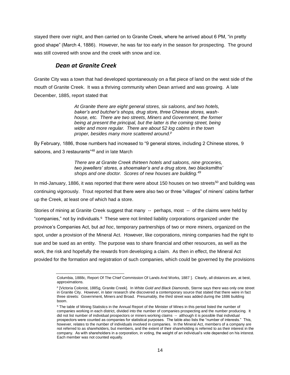stayed there over night, and then carried on to Granite Creek, where he arrived about 6 PM, "in pretty good shape" (March 4, 1886). However, he was far too early in the season for prospecting. The ground was still covered with snow and the creek with snow and ice.

## *Dean at Granite Creek*

<span id="page-14-0"></span>Granite City was a town that had developed spontaneously on a flat piece of land on the west side of the mouth of Granite Creek. It was a thriving community when Dean arrived and was growing. A late December, 1885, report stated that

> *At Granite there are eight general stores, six saloons, and two hotels, baker's and butcher's shops, drug store, three Chinese stores, washhouse, etc. There are two streets, Miners and Government, the former*  being at present the principal, but the latter is the coming street, being *wider and more regular. There are about 52 log cabins in the town proper, besides many more scattered around.<sup>p</sup>*

By February, 1886, those numbers had increased to "9 general stores, including 2 Chinese stores, 9 saloons, and 3 restaurants"<sup>48</sup> and in late March

> *There are at Granite Creek thirteen hotels and saloons, nine groceries, two jewellers' stores, a shoemaker's and a drug store, two blacksmiths' shops and one doctor. Scores of new houses are building.<sup>49</sup>*

In mid-January, 1886, it was reported that there were about 150 houses on two streets<sup>50</sup> and building was continuing vigorously. Trout reported that there were also two or three "villages" of miners' cabins farther up the Creek, at least one of which had a store.

Stories of mining at Granite Creek suggest that many -- perhaps, most -- of the claims were held by "companies," not by individuals.<sup>q</sup> These were not limited liability corporations organized under the province's Companies Act, but *ad hoc*, temporary partnerships of two or more miners, organized on the spot, under a provision of the Mineral Act. However, like corporations, mining companies had the right to sue and be sued as an entity. The purpose was to share financial and other resources, as well as the work, the risk and hopefully the rewards from developing a claim. As then in effect, the Mineral Act provided for the formation and registration of such companies, which could be governed by the provisions

l Columbia, 1888c, Report Of The Chief Commission Of Lands And Works, 1887 ]. Clearly, all distances are, at best, approximations.

P [Victoria Colonist, 1885g, Granite Creek]. In White Gold and Black Diamonds, Sterne says there was only one street in Granite City. However, in later research she discovered a contemporary source that stated that there were in fact three streets: Government, Miners and Broad. Presumably, the third street was added during the 1886 building boom.

<sup>&</sup>lt;sup>q</sup> The table of Mining Statistics in the Annual Report of the Minister of Mines in this period listed the number of companies working in each district, divided into the number of companies prospecting and the number producing. It did not list number of individual prospectors or miners working claims -- although it is possible that individual prospectors were counted as companies for statistical purposes. The table also lists the "number of interests." This, however, relates to the number of individuals involved in companies. In the Mineral Act, members of a company are not referred to as shareholders, but members, and the extent of their shareholding is referred to as their interest in the company. As with shareholders in a corporation, in voting, the weight of an individual's vote depended on his interest. Each member was not counted equally.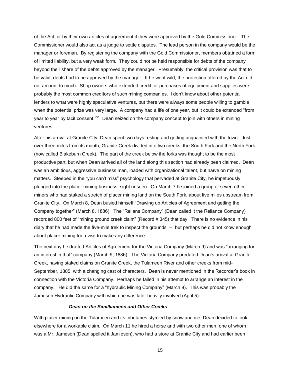of the Act, or by their own articles of agreement if they were approved by the Gold Commissioner. The Commissioner would also act as a judge to settle disputes. The lead person in the company would be the manager or foreman. By registering the company with the Gold Commissioner, members obtained a form of limited liability, but a very weak form. They could not be held responsible for debts of the company beyond their share of the debts approved by the manager. Presumably, the critical provision was that to be valid, debts had to be approved by the manager. If he went wild, the protection offered by the Act did not amount to much. Shop owners who extended credit for purchases of equipment and supplies were probably the most common creditors of such mining companies. I don't know about other potential lenders to what were highly speculative ventures, but there were always some people willing to gamble when the potential prize was very large. A company had a life of one year, but it could be extended "from year to year by tacit consent."<sup>51</sup> Dean seized on the company concept to join with others in mining ventures.

After his arrival at Granite City, Dean spent two days resting and getting acquainted with the town. Just over three miles from its mouth, Granite Creek divided into two creeks, the South Fork and the North Fork (now called Blakeburn Creek). The part of the creek below the forks was thought to be the most productive part, but when Dean arrived all of the land along this section had already been claimed. Dean was an ambitious, aggressive business man, loaded with organizational talent, but naïve on mining matters. Steeped in the "you can't miss" psychology that pervaded at Granite City, he impetuously plunged into the placer mining business, sight unseen. On March 7 he joined a group of seven other miners who had staked a stretch of placer mining land on the South Fork, about five miles upstream from Granite City. On March 8, Dean busied himself "Drawing up Articles of Agreement and getting the Company together" (March 8, 1886). The "Relians Company" (Dean called it the Reliance Company) recorded 800 feet of "mining ground creek claim" (Record # 345) that day. There is no evidence in his diary that he had made the five-mile trek to inspect the grounds -- but perhaps he did not know enough about placer mining for a visit to make any difference.

The next day he drafted Articles of Agreement for the Victoria Company (March 9) and was "arranging for an interest in that" company (March 9, 1886). The Victoria Company predated Dean's arrival at Granite Creek, having staked claims on Granite Creek, the Tulameen River and other creeks from mid-September, 1885, with a changing cast of characters. Dean is never mentioned in the Recorder's book in connection with the Victoria Company. Perhaps he failed in his attempt to arrange an interest in the company. He did the same for a "hydraulic Mining Company" (March 9). This was probably the Jameson Hydraulic Company with which he was later heavily involved (April 5).

#### *Dean on the Similkameen and Other Creeks*

<span id="page-15-0"></span>With placer mining on the Tulameen and its tributaries stymied by snow and ice, Dean decided to look elsewhere for a workable claim. On March 11 he hired a horse and with two other men, one of whom was a Mr. Jameson (Dean spelled it Jamieson), who had a store at Granite City and had earlier been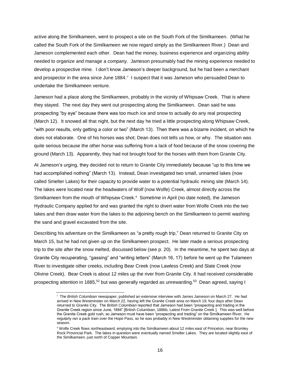active along the Similkameen, went to prospect a site on the South Fork of the Similkameen. (What he called the South Fork of the Similkameen we now regard simply as the Similkameen River.) Dean and Jameson complemented each other. Dean had the money, business experience and organizing ability needed to organize and manage a company. Jameson presumably had the mining experience needed to develop a prospective mine. I don't know Jameson's deeper background, but he had been a merchant and prospector in the area since June 1884. <sup>r</sup> I suspect that it was Jameson who persuaded Dean to undertake the Similkameen venture.

Jameson had a place along the Similkameen, probably in the vicinity of Whipsaw Creek. That is where they stayed. The next day they went out prospecting along the Similkameen. Dean said he was prospecting "by eye" because there was too much ice and snow to actually do any real prospecting (March 12). It snowed all that night, but the next day he tried a little prospecting along Whipsaw Creek, "with poor results, only getting a color or two" (March 13). Then there was a bizarre incident, on which he does not elaborate. One of his horses was shot; Dean does not tells us how, or why. The situation was quite serious because the other horse was suffering from a lack of food because of the snow covering the ground (March 13). Apparently, they had not brought food for the horses with them from Granite City.

At Jameson's urging, they decided not to return to Granite City immediately because "up to this time we had accomplished nothing" (March 13). Instead, Dean investigated two small, unnamed lakes (now called Smelter Lakes) for their capacity to provide water to a potential hydraulic mining site (March 14). The lakes were located near the headwaters of Wolf (now Wolfe) Creek, almost directly across the Similkameen from the mouth of Whipsaw Creek.<sup>s</sup> Sometime in April (no date noted), the Jameson Hydraulic Company applied for and was granted the right to divert water from Wolfe Creek into the two lakes and then draw water from the lakes to the adjoining bench on the Similkameen to permit washing the sand and gravel excavated from the site.

Describing his adventure on the Similkameen as "a pretty rough trip," Dean returned to Granite City on March 15, but he had not given up on the Similkameen prospect. He later made a serious prospecting trip to the site after the snow melted, discussed below (see p. 20). In the meantime, he spent two days at Granite City recuperating, "gassing" and "writing letters" (March 16, 17) before he went up the Tulameen River to investigate other creeks, including Bear Creek (now Lawless Creek) and Slate Creek (now Olivine Creek). Bear Creek is about 12 miles up the river from Granite City. It had received considerable prospecting attention in 1885,<sup>52</sup> but was generally regarded as unrewarding.<sup>53</sup> Dean agreed, saying I

r The *British Columbian* newspaper, published an extensive interview with James Jameson on March 27. He had arrived in New Westminster on March 22, having left the Granite Creek area on March 19, four days after Dean returned to Granite City. The *British Columbian* reported that Jameson had been "prospecting and trading in the Granite Creek region since June, 1884" [British Columbian, 1886b, Latest From Granite Creek ]. This was well before the Granite Creek gold rush, so Jameson must have been "prospecting and trading" on the Similkameen River. He regularly ran a pack train over the Hope Pass, so he was probably in New Westminster obtaining supplies for the new season.

<sup>s</sup> Wolfe Creek flows northeastward, emptying into the Similkameen about 12 miles east of Princeton, near Bromley Rock Provincial Park. The lakes in question were eventually named Smelter Lakes. They are located slightly east of the Similkameen. just north of Copper Mountain.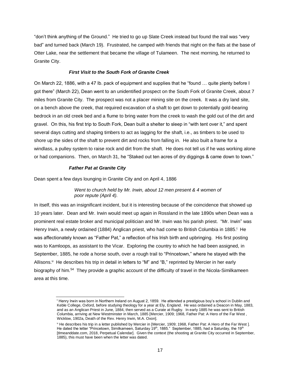"don't think anything of the Ground." He tried to go up Slate Creek instead but found the trail was "very bad" and turned back (March 19). Frustrated, he camped with friends that night on the flats at the base of Otter Lake, near the settlement that became the village of Tulameen. The next morning, he returned to Granite City.

#### *First Visit to the South Fork of Granite Creek*

<span id="page-17-0"></span>On March 22, 1886, with a 47 lb. pack of equipment and supplies that he "found … quite plenty before I got there" (March 22), Dean went to an unidentified prospect on the South Fork of Granite Creek, about 7 miles from Granite City. The prospect was not a placer mining site on the creek. It was a dry land site, on a bench above the creek, that required excavation of a shaft to get down to potentially gold-bearing bedrock in an old creek bed and a flume to bring water from the creek to wash the gold out of the dirt and gravel. On this, his first trip to South Fork, Dean built a shelter to sleep in "with tent over it," and spent several days cutting and shaping timbers to act as lagging for the shaft, i.e., as timbers to be used to shore up the sides of the shaft to prevent dirt and rocks from falling in. He also built a frame for a windlass, a pulley system to raise rock and dirt from the shaft. He does not tell us if he was working alone or had companions. Then, on March 31, he "Staked out ten acres of dry diggings & came down to town."

#### *Father Pat at Granite City*

<span id="page-17-1"></span>Dean spent a few days lounging in Granite City and on April 4, 1886

*Went to church held by Mr. Irwin, about 12 men present & 4 women of poor repute (April 4).* 

In itself, this was an insignificant incident, but it is interesting because of the coincidence that showed up 10 years later. Dean and Mr. Irwin would meet up again in Rossland in the late 1890s when Dean was a prominent real estate broker and municipal politician and Mr. Irwin was his parish priest. "Mr. Irwin" was Henry Irwin, a newly ordained (1884) Anglican priest, who had come to British Columbia in 1885.<sup>t</sup> He was affectionately known as "Father Pat," a reflection of his Irish birth and upbringing. His first posting was to Kamloops, as assistant to the Vicar. Exploring the country to which he had been assigned, in September, 1885, he rode a horse south, over a rough trail to "Princetown," where he stayed with the Allisons.<sup>u</sup> He describes his trip in detail in letters to "M" and "B," reprinted by Mercier in her early biography of him.<sup>54</sup> They provide a graphic account of the difficulty of travel in the Nicola-Similkameen area at this time.

l <sup>t</sup> Henry Irwin was born in Northern Ireland on August 2, 1859. He attended a prestigious boy's school in Dublin and Keble College, Oxford, before studying theology for a year at Ely, England. He was ordained a Deacon in May, 1883, and as an Anglican Priest in June, 1884, then served as a Curate at Rugby. In early 1885 he was sent to British Columbia, arriving at New Westminster in March, 1885 [Mercier, 1909; 1968, Father Pat: A Hero of the Far West , Wicklow, 1902a, Death of the Rev. Henry Irwin, M.A. Oxon].

<sup>&</sup>lt;sup>u</sup> He describes his trip in a letter published by Mercier in [Mercier, 1909; 1968, Father Pat: A Hero of the Far West ]. He dated the letter "Princetown, Similkameen, Saturday 19th, 1885." September, 1885, had a Saturday, the 19th [tImeanddate.com, 2018, Perpetual Calendar]. Given the context (the shooting at Granite City occurred in September, 1885), this must have been when the letter was dated.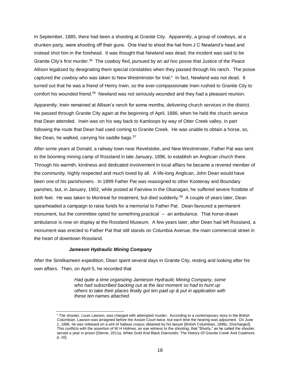In September, 1885, there had been a shooting at Granite City. Apparently, a group of cowboys, at a drunken party, were shooting off their guns. One tried to shoot the hat from J C Newland's head and instead shot him in the forehead. It was thought that Newland was dead; the incident was said to be Granite City's first murder.<sup>55</sup> The cowboy fled, pursued by an *ad hoc* posse that Justice of the Peace Allison legalized by designating them special constables when they passed through his ranch. The posse captured the cowboy who was taken to New Westminster for trial. In fact, Newland was not dead. It turned out that he was a friend of Henry Irwin, so the ever-compassionate Irwin rushed to Granite City to comfort his wounded friend.<sup>56</sup> Newland was not seriously wounded and they had a pleasant reunion.

Apparently, Irwin remained at Allison's ranch for some months, delivering church services in the district. He passed through Granite City again at the beginning of April, 1886, when he held the church service that Dean attended. Irwin was on his way back to Kamloops by way of Otter Creek valley, in part following the route that Dean had used coming to Granite Creek. He was unable to obtain a horse, so, like Dean, he walked, carrying his saddle bags.  $57$ 

After some years at Donald, a railway town near Revelstoke, and New Westminster, Father Pat was sent to the booming mining camp of Rossland in late January, 1896, to establish an Anglican church there. Through his warmth, kindness and dedicated involvement in local affairs he became a revered member of the community, highly respected and much loved by all. A life-long Anglican, John Dean would have been one of his parishioners. In 1899 Father Pat was reassigned to other Kootenay and Boundary parishes, but, in January, 1902, while posted at Fairview in the Okanagan, he suffered severe frostbite of both feet. He was taken to Montreal for treatment, but died suddenly.<sup>58</sup> A couple of years later, Dean spearheaded a campaign to raise funds for a memorial to Father Pat. Dean favoured a permanent monument, but the committee opted for something practical -- an ambulance. That horse-drawn ambulance is now on display at the Rossland Museum. A few years later, after Dean had left Rossland, a monument was erected to Father Pat that still stands on Columbia Avenue, the main commercial street in the heart of downtown Rossland.

#### *Jameson Hydraulic Mining Company*

l

<span id="page-18-0"></span>After the Similkameen expedition, Dean spent several days in Granite City, resting and looking after his own affairs. Then, on April 5, he recorded that

> *Had quite a time organizing Jamieson Hydraulic Mining Company, some who had subscribed backing out at the last moment so had to hunt up others to take their places finally got ten paid up & put in application with these ten names attached.*

<sup>v</sup> The shooter, Louis Lawson, was charged with attempted murder. According to a contemporary story in the *British Columbian,* Lawson was arraigned before the Assize Court twice, but each time the hearing was adjourned. On June 1, 1886, he was released on a writ of *habeas corpus* obtained by his lawyer [British Columbian, 1886c, DIscharged]. This conflicts with the assertion of W H Holmes, an eye witness to the shooting, that "Shorty," as he called the shooter, served a year in prison [Sterne, 2011a, White Gold And Black Diamonds: The History Of Granite Creek And Coalmont, p. 16].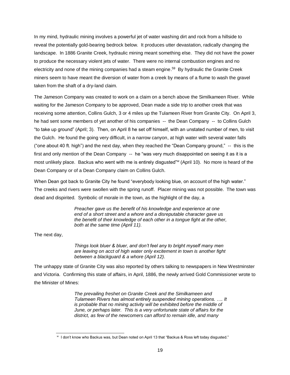In my mind, hydraulic mining involves a powerful jet of water washing dirt and rock from a hillside to reveal the potentially gold-bearing bedrock below. It produces utter devastation, radically changing the landscape. In 1886 Granite Creek, hydraulic mining meant something else. They did not have the power to produce the necessary violent jets of water. There were no internal combustion engines and no electricity and none of the mining companies had a steam engine.<sup>59</sup> By hydraulic the Granite Creek miners seem to have meant the diversion of water from a creek by means of a flume to wash the gravel taken from the shaft of a dry-land claim.

The Jameson Company was created to work on a claim on a bench above the Similkameen River. While waiting for the Jameson Company to be approved, Dean made a side trip to another creek that was receiving some attention, Collins Gulch, 3 or 4 miles up the Tulameen River from Granite City. On April 3, he had sent some members of yet another of his companies -- the Dean Company -- to Collins Gulch "to take up ground" (April; 3). Then, on April 8 he set off himself, with an unstated number of men, to visit the Gulch. He found the going very difficult, in a narrow canyon, at high water with several water falls ("one about 40 ft. high") and the next day, when they reached the "Dean Company ground," -- this is the first and only mention of the Dean Company -- he "was very much disappointed on seeing it as it is a most unlikely place. Backus who went with me is entirely disgusted"<sup>w</sup> (April 10). No more is heard of the Dean Company or of a Dean Company claim on Collins Gulch.

When Dean got back to Granite City he found "everybody looking blue, on account of the high water." The creeks and rivers were swollen with the spring runoff. Placer mining was not possible. The town was dead and dispirited. Symbolic of morale in the town, as the highlight of the day, a

> *Preacher gave us the benefit of his knowledge and experience at one end of a short street and a whore and a disreputable character gave us the benefit of their knowledge of each other in a tongue fight at the other, both at the same time (April 11).*

The next day,

l

*Things look bluer & bluer, and don't feel any to bright myself many men are leaving on acct of high water only excitement in town is another fight between a blackguard & a whore (April 12).*

The unhappy state of Granite City was also reported by others talking to newspapers in New Westminster and Victoria. Confirming this state of affairs, in April, 1886, the newly arrived Gold Commissioner wrote to the Minister of Mines:

> *The prevailing freshet on Granite Creek and the Similkameen and Tulameen Rivers has almost entirely suspended mining operations. …. It is probable that no mining activity will be exhibited before the middle of June, or perhaps later. This is a very unfortunate state of affairs for the district, as few of the newcomers can afford to remain idle, and many*

w I don't know who Backus was, but Dean noted on April 13 that "Backus & Ross left today disgusted."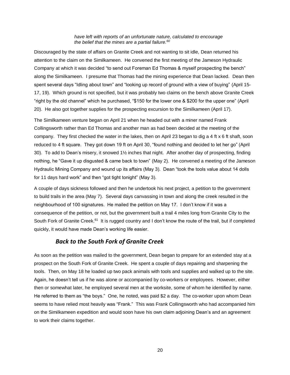#### *have left with reports of an unfortunate nature, calculated to encourage the belief that the mines are a partial failure.<sup>60</sup>*

Discouraged by the state of affairs on Granite Creek and not wanting to sit idle, Dean returned his attention to the claim on the Similkameen. He convened the first meeting of the Jameson Hydraulic Company at which it was decided "to send out Foreman Ed Thomas & myself prospecting the bench" along the Similkameen. I presume that Thomas had the mining experience that Dean lacked. Dean then spent several days "Idling about town" and "looking up record of ground with a view of buying" (April 15-17, 19). Which ground is not specified, but it was probably two claims on the bench above Granite Creek "right by the old channel" which he purchased, "\$150 for the lower one & \$200 for the upper one" (April 20). He also got together supplies for the prospecting excursion to the Similkameen (April 17).

The Similkameen venture began on April 21 when he headed out with a miner named Frank Collingsworth rather than Ed Thomas and another man as had been decided at the meeting of the company. They first checked the water in the lakes, then on April 23 began to dig a 4 ft x 6 ft shaft, soon reduced to 4 ft square. They got down 19 ft on April 30, "found nothing and decided to let her go" (April 30). To add to Dean's misery, it snowed 1½ inches that night. After another day of prospecting, finding nothing, he "Gave it up disgusted & came back to town" (May 2). He convened a meeting of the Jameson Hydraulic Mining Company and wound up its affairs (May 3). Dean "took the tools value about 14 dolls for 11 days hard work" and then "got tight tonight" (May 3).

A couple of days sickness followed and then he undertook his next project, a petition to the government to build trails in the area (May 7). Several days canvassing in town and along the creek resulted in the neighbourhood of 100 signatures. He mailed the petition on May 17. I don't know if it was a consequence of the petition, or not, but the government built a trail 4 miles long from Granite City to the South Fork of Granite Creek.<sup>61</sup> It is rugged country and I don't know the route of the trail, but if completed quickly, it would have made Dean's working life easier.

### *Back to the South Fork of Granite Creek*

<span id="page-20-0"></span>As soon as the petition was mailed to the government, Dean began to prepare for an extended stay at a prospect on the South Fork of Granite Creek. He spent a couple of days repairing and sharpening the tools. Then, on May 18 he loaded up two pack animals with tools and supplies and walked up to the site. Again, he doesn't tell us if he was alone or accompanied by co-workers or employees. However, either then or somewhat later, he employed several men at the worksite, some of whom he identified by name. He referred to them as "the boys." One, he noted, was paid \$2 a day. The co-worker upon whom Dean seems to have relied most heavily was "Frank." This was Frank Collingsworth who had accompanied him on the Similkameen expedition and would soon have his own claim adjoining Dean's and an agreement to work their claims together.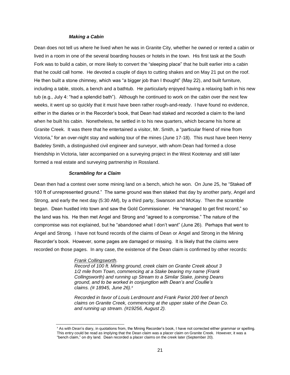#### *Making a Cabin*

<span id="page-21-0"></span>Dean does not tell us where he lived when he was in Granite City, whether he owned or rented a cabin or lived in a room in one of the several boarding houses or hotels in the town. His first task at the South Fork was to build a cabin, or more likely to convert the "sleeping place" that he built earlier into a cabin that he could call home. He devoted a couple of days to cutting shakes and on May 21 put on the roof. He then built a stone chimney, which was "a bigger job than I thought" (May 22), and built furniture, including a table, stools, a bench and a bathtub. He particularly enjoyed having a relaxing bath in his new tub (e.g., July 4: "had a splendid bath"). Although he continued to work on the cabin over the next few weeks, it went up so quickly that it must have been rather rough-and-ready. I have found no evidence, either in the diaries or in the Recorder's book, that Dean had staked and recorded a claim to the land when he built his cabin. Nonetheless, he settled in to his new quarters, which became his home at Granite Creek. It was there that he entertained a visitor, Mr. Smith, a "particular friend of mine from Victoria," for an over-night stay and walking tour of the mines (June 17-18). This must have been Henry Badeley Smith, a distinguished civil engineer and surveyor, with whom Dean had formed a close friendship in Victoria, later accompanied on a surveying project in the West Kootenay and still later formed a real estate and surveying partnership in Rossland.

#### *Scrambling for a Claim*

<span id="page-21-1"></span>Dean then had a contest over some mining land on a bench, which he won. On June 25, he "Staked off 100 ft of unrepresented ground." The same ground was then staked that day by another party, Angel and Strong, and early the next day (5:30 AM), by a third party, Swanson and McKay. Then the scramble began. Dean hustled into town and saw the Gold Commissioner. He "managed to get first record," so the land was his. He then met Angel and Strong and "agreed to a compromise." The nature of the compromise was not explained, but he "abandoned what I don't want" (June 26). Perhaps that went to Angel and Strong. I have not found records of the claims of Dean or Angel and Strong in the Mining Recorder's book. However, some pages are damaged or missing. It is likely that the claims were recorded on those pages. In any case, the existence of the Dean claim is confirmed by other records:

#### *Frank Collingsworth.*

l

*Record of 100 ft. Mining ground, creek claim on Granite Creek about 3 1/2 mile from Town, commencing at a Stake bearing my name (Frank Collingsworth) and running up Stream to a Similar Stake, joining Deans ground, and to be worked in conjungtion with Dean's and Coullie's claims. (# 18945, June 26). x*

*Recorded in favor of Louis Lerdmount and Frank Pariot 200 feet of bench claims on Granite Creek, commencing at the upper stake of the Dean Co. and running up stream. (#19256, August 2).*

<sup>x</sup> As with Dean's diary, in quotations from, the Mining Recorder's book, I have not corrected either grammar or spelling. This entry could be read as implying that the Dean claim was a placer claim on Granite Creek. However, it was a "bench claim," on dry land. Dean recorded a placer claims on the creek later (September 20).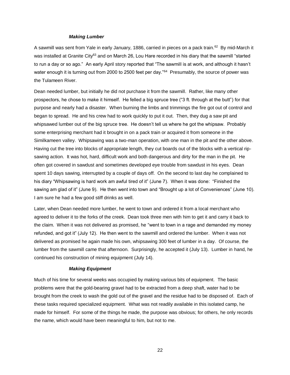#### *Making Lumber*

<span id="page-22-0"></span>A sawmill was sent from Yale in early January, 1886, carried in pieces on a pack train.<sup>62</sup> By mid-March it was installed at Granite City<sup>63</sup> and on March 26, Lou Hare recorded in his diary that the sawmill "started to run a day or so ago." An early April story reported that "The sawmill is at work, and although it hasn't water enough it is turning out from 2000 to 2500 feet per day."<sup>64</sup> Presumably, the source of power was the Tulameen River.

Dean needed lumber, but initially he did not purchase it from the sawmill. Rather, like many other prospectors, he chose to make it himself. He felled a big spruce tree ("3 ft. through at the butt") for that purpose and nearly had a disaster. When burning the limbs and trimmings the fire got out of control and began to spread. He and his crew had to work quickly to put it out. Then, they dug a saw pit and whipsawed lumber out of the big spruce tree. He doesn't tell us where he got the whipsaw. Probably some enterprising merchant had it brought in on a pack train or acquired it from someone in the Similkameen valley. Whipsawing was a two-man operation, with one man in the pit and the other above. Having cut the tree into blocks of appropriate length, they cut boards out of the blocks with a vertical ripsawing action. It was hot, hard, difficult work and both dangerous and dirty for the man in the pit. He often got covered in sawdust and sometimes developed eye trouble from sawdust in his eyes. Dean spent 10 days sawing, interrupted by a couple of days off. On the second to last day he complained to his diary "Whipsawing is hard work am awful tired of it" (June 7). When it was done: "Finished the sawing am glad of it" (June 9). He then went into town and "Brought up a lot of Conveniences" (June 10). I am sure he had a few good stiff drinks as well.

Later, when Dean needed more lumber, he went to town and ordered it from a local merchant who agreed to deliver it to the forks of the creek. Dean took three men with him to get it and carry it back to the claim. When it was not delivered as promised, he "went to town in a rage and demanded my money refunded, and got it" (July 12). He then went to the sawmill and ordered the lumber. When it was not delivered as promised he again made his own, whipsawing 300 feet of lumber in a day. Of course, the lumber from the sawmill came that afternoon. Surprisingly, he accepted it (July 13). Lumber in hand, he continued his construction of mining equipment (July 14).

#### *Making Equipment*

<span id="page-22-1"></span>Much of his time for several weeks was occupied by making various bits of equipment. The basic problems were that the gold-bearing gravel had to be extracted from a deep shaft, water had to be brought from the creek to wash the gold out of the gravel and the residue had to be disposed of. Each of these tasks required specialized equipment. What was not readily available in this isolated camp, he made for himself. For some of the things he made, the purpose was obvious; for others, he only records the name, which would have been meaningful to him, but not to me.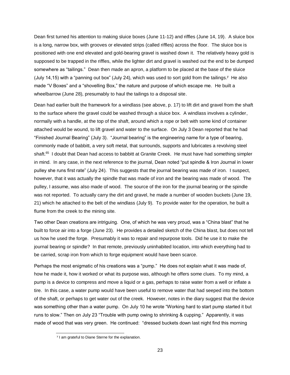Dean first turned his attention to making sluice boxes (June 11-12) and riffles (June 14, 19). A sluice box is a long, narrow box, with grooves or elevated strips (called riffles) across the floor. The sluice box is positioned with one end elevated and gold-bearing gravel is washed down it. The relatively heavy gold is supposed to be trapped in the riffles, while the lighter dirt and gravel is washed out the end to be dumped somewhere as "tailings." Dean then made an apron, a platform to be placed at the base of the sluice (July 14,15) with a "panning out box" (July 24), which was used to sort gold from the tailings.<sup>y</sup> He also made "V Boxes" and a "shovelling Box," the nature and purpose of which escape me. He built a wheelbarrow (June 28), presumably to haul the tailings to a disposal site.

Dean had earlier built the framework for a windlass (see above, p. 17) to lift dirt and gravel from the shaft to the surface where the gravel could be washed through a sluice box. A windlass involves a cylinder, normally with a handle, at the top of the shaft, around which a rope or belt with some kind of container attached would be wound, to lift gravel and water to the surface. On July 3 Dean reported that he had "Finished Journal Bearing" (July 3). "Journal bearing" is the engineering name for a type of bearing, commonly made of babbitt, a very soft metal, that surrounds, supports and lubricates a revolving steel shaft.<sup>65</sup> I doubt that Dean had access to babbitt at Granite Creek. He must have had something simpler in mind. In any case, in the next reference to the journal, Dean noted "put spindle & Iron Journal in lower pulley she runs first rate" (July 24). This suggests that the journal bearing was made of iron. I suspect, however, that it was actually the spindle that was made of iron and the bearing was made of wood. The pulley, I assume, was also made of wood. The source of the iron for the journal bearing or the spindle was not reported. To actually carry the dirt and gravel, he made a number of wooden buckets (June 19, 21) which he attached to the belt of the windlass (July 9). To provide water for the operation, he built a flume from the creek to the mining site.

Two other Dean creations are intriguing. One, of which he was very proud, was a "China blast" that he built to force air into a forge (June 23). He provides a detailed sketch of the China blast, but does not tell us how he used the forge. Presumably it was to repair and repurpose tools. Did he use it to make the journal bearing or spindle? In that remote, previously uninhabited location, into which everything had to be carried, scrap iron from which to forge equipment would have been scarce.

Perhaps the most enigmatic of his creations was a "pump." He does not explain what it was made of, how he made it, how it worked or what its purpose was, although he offers some clues. To my mind, a pump is a device to compress and move a liquid or a gas, perhaps to raise water from a well or inflate a tire. In this case, a water pump would have been useful to remove water that had seeped into the bottom of the shaft, or perhaps to get water out of the creek. However, notes in the diary suggest that the device was something other than a water pump. On July 10 he wrote "Working hard to start pump started it but runs to slow." Then on July 23 "Trouble with pump owing to shrinking & cupping." Apparently, it was made of wood that was very green. He continued: "dressed buckets down last night find this morning

<sup>&</sup>lt;sup>y</sup> I am grateful to Diane Sterne for the explanation.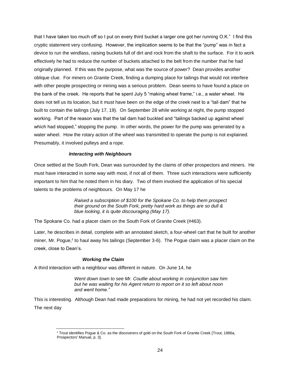that I have taken too much off so I put on every third bucket a larger one got her running O.K." I find this cryptic statement very confusing. However, the implication seems to be that the "pump" was in fact a device to run the windlass, raising buckets full of dirt and rock from the shaft to the surface. For it to work effectively he had to reduce the number of buckets attached to the belt from the number that he had originally planned. If this was the purpose, what was the source of power? Dean provides another oblique clue. For miners on Granite Creek, finding a dumping place for tailings that would not interfere with other people prospecting or mining was a serious problem. Dean seems to have found a place on the bank of the creek. He reports that he spent July 5 "making wheel frame," i.e., a water wheel. He does not tell us its location, but it must have been on the edge of the creek next to a "tail dam" that he built to contain the tailings (July 17, 19). On September 28 while working at night, the pump stopped working. Part of the reason was that the tail dam had buckled and "tailings backed up against wheel which had stopped," stopping the pump. In other words, the power for the pump was generated by a water wheel. How the rotary action of the wheel was transmitted to operate the pump is not explained. Presumably, it involved pulleys and a rope.

#### *Interacting with Neighbours*

<span id="page-24-0"></span>Once settled at the South Fork, Dean was surrounded by the claims of other prospectors and miners. He must have interacted in some way with most, if not all of them. Three such interactions were sufficiently important to him that he noted them in his diary. Two of them involved the application of his special talents to the problems of neighbours. On May 17 he

> *Raised a subscription of \$100 for the Spokane Co. to help them prospect their ground on the South Fork, pretty hard work as things are so dull & blue looking, it is quite discouraging (May 17).*

The Spokane Co. had a placer claim on the South Fork of Granite Creek (#463).

Later, he describes in detail, complete with an annotated sketch, a four-wheel cart that he built for another miner, Mr. Pogue,<sup>z</sup> to haul away his tailings (September 3-6). The Pogue claim was a placer claim on the creek, close to Dean's.

#### *Working the Claim*

<span id="page-24-1"></span>A third interaction with a neighbour was different in nature. On June 14, he

*Went down town to see Mr. Coutlie about working in conjunction saw him but he was waiting for his Agent return to report on it so left about noon and went home."* 

This is interesting. Although Dean had made preparations for mining, he had not yet recorded his claim. The next day

l <sup>z</sup> Trout identifies Pogue & Co. as the discoverers of gold on the South Fork of Granite Creek [Trout, 1886a, Prospectors' Manual, p. 3].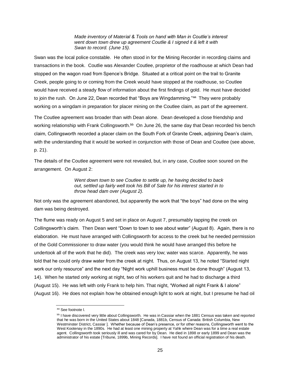*Made inventory of Material & Tools on hand with Man in Coutlie's interest went down town drew up agreement Coutlie & I signed it & left it with Swan to record. (June 15).*

Swan was the local police constable. He often stood in for the Mining Recorder in recording claims and transactions in the book. Coutlie was Alexander Coutlee, proprietor of the roadhouse at which Dean had stopped on the wagon road from Spence's Bridge. Situated at a critical point on the trail to Granite Creek, people going to or coming from the Creek would have stopped at the roadhouse, so Coutlee would have received a steady flow of information about the first findings of gold. He must have decided to join the rush. On June 22, Dean recorded that "Boys are Wingdamming."<sup>aa</sup> They were probably working on a wingdam in preparation for placer mining on the Coutlee claim, as part of the agreement.

The Coutlee agreement was broader than with Dean alone. Dean developed a close friendship and working relationship with Frank Collingsworth.<sup>bb</sup> On June 26, the same day that Dean recorded his bench claim, Collingsworth recorded a placer claim on the South Fork of Granite Creek, adjoining Dean's claim, with the understanding that it would be worked in conjunction with those of Dean and Coutlee (see above, p. 21).

The details of the Coutlee agreement were not revealed, but, in any case, Coutlee soon soured on the arrangement. On August 2:

> *Went down town to see Coutlee to settle up, he having decided to back out, settled up fairly well took his Bill of Sale for his interest started in to throw head dam over (August 2).*

Not only was the agreement abandoned, but apparently the work that "the boys" had done on the wing dam was being destroyed.

The flume was ready on August 5 and set in place on August 7, presumably tapping the creek on Collingsworth's claim. Then Dean went "Down to town to see about water" (August 8). Again, there is no elaboration. He must have arranged with Collingsworth for access to the creek but he needed permission of the Gold Commissioner to draw water (you would think he would have arranged this before he undertook all of the work that he did). The creek was very low; water was scarce. Apparently, he was told that he could only draw water from the creek at night. Thus, on August 13, he noted "Started night work our only resource" and the next day "Night work uphill business must be done though" (August 13, 14). When he started only working at night, two of his workers quit and he had to discharge a third (August 15). He was left with only Frank to help him. That night, "Worked all night Frank & I alone" (August 16). He does not explain how he obtained enough light to work at night, but I presume he had oil

aa See footnote I.

bb I have discovered very little about Collingsworth. He was in Cassiar when the 1881 Census was taken and reported that he was born in the United States about 1848 [Canada, 1881b, Census of Canada: British Columbia, New Westminster District, Cassiar ]. Whether because of Dean's presence, or for other reasons, Collingsworth went to the West Kootenay in the 1890s. He had at least one mining property at Yahk where Dean was for a time a real estate agent. Collingsworth took seriously ill and was cared for by Dean. He died in 1898 or early 1899 and Dean was the administrator of his estate [Tribune, 1899b, Mining Records]. I have not found an official registration of his death.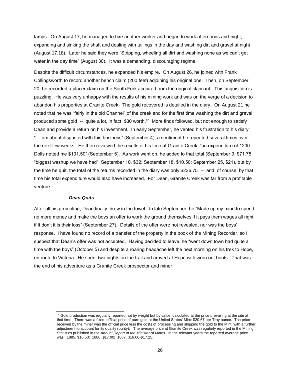lamps. On August 17, he managed to hire another worker and began to work afternoons and night, expanding and sinking the shaft and dealing with tailings in the day and washing dirt and gravel at night (August 17,18). Later he said they were "Stripping, wheeling all dirt and washing none as we can't get water in the day time" (August 30). It was a demanding, discouraging regime.

Despite the difficult circumstances, he expanded his empire. On August 26, he joined with Frank Collingsworth to record another bench claim (200 feet) adjoining his original one. Then, on September 20, he recorded a placer claim on the South Fork acquired from the original claimant. This acquisition is puzzling. He was very unhappy with the results of his mining work and was on the verge of a decision to abandon his properties at Granite Creek. The gold recovered is detailed in the diary. On August 21 he noted that he was "fairly in the old Channel" of the creek and for the first time washing the dirt and gravel produced some gold -- quite a lot, in fact, \$30 worth.<sup>cc</sup> More finds followed, but not enough to satisfy Dean and provide a return on his investment. In early September, he vented his frustration to his diary: "… am about disgusted with this business" (September 4), a sentiment he repeated several times over the next few weeks. He then reviewed the results of his time at Granite Creek: "an expenditure of 1200 Dolls netted me \$101.50" (September 5). As work went on, he added to that total (September 9, \$71.75, "biggest washup we have had"; September 10, \$32; September 18, \$10.50; September 25, \$21), but by the time he quit, the total of the returns recorded in the diary was only \$236.75 -- and, of course, by that time his total expenditure would also have increased. For Dean, Granite Creek was far from a profitable venture.

#### *Dean Quits*

l

<span id="page-26-0"></span>After all his grumbling, Dean finally threw in the towel. In late September, he "Made up my mind to spend no more money and make the boys an offer to work the ground themselves if it pays them wages all right if it don't it is their loss" (September 27). Details of the offer were not revealed, nor was the boys' response. I have found no record of a transfer of the property in the book of the Mining Recorder, so I suspect that Dean's offer was not accepted. Having decided to leave, he "went down town had quite a time with the boys" (October 5) and despite a roaring headache left the next morning on his trek to Hope, en route to Victoria. He spent two nights on the trail and arrived at Hope with worn out boots. That was the end of his adventure as a Granite Creek prospector and miner.

 $c\bar{c}$  Gold production was regularly reported not by weight but by value, calculated at the price prevailing at the site at that time. There was a fixed, official price of pure gold at the United States' Mint: \$20.67 per Troy ounce. The price received by the miner was the official price less the costs of processing and shipping the gold to the Mint, with a further adjustment to account for its quality (purity). The average price at Granite Creek was regularly reported in the Mining Statistics published in the *Annual Report of the Minister of Mines*. In the relevant years the reported average price was: 1885, \$16.50; 1886, \$17.00; 1887, \$16.00-\$17.25.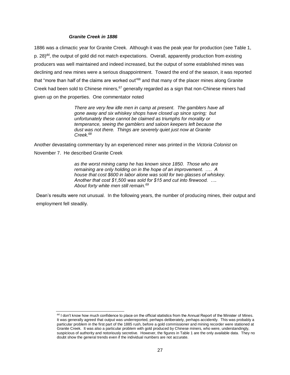#### *Granite Creek in 1886*

l

<span id="page-27-0"></span>1886 was a climactic year for Granite Creek. Although it was the peak year for production (see Table 1, p. [28\)](#page-28-1)<sup>dd</sup>, the output of gold did not match expectations. Overall, apparently production from existing producers was well maintained and indeed increased, but the output of some established mines was declining and new mines were a serious disappointment. Toward the end of the season, it was reported that "more than half of the claims are worked out"<sup>66</sup> and that many of the placer mines along Granite Creek had been sold to Chinese miners,  $67$  generally regarded as a sign that non-Chinese miners had given up on the properties. One commentator noted

> *There are very few idle men in camp at present. The gamblers have all gone away and six whiskey shops have closed up since spring; but unfortunately these cannot be claimed as triumphs for morality or temperance, seeing the gamblers and saloon keepers left because the dust was not there. Things are severely quiet just now at Granite Creek.<sup>68</sup>*

Another devastating commentary by an experienced miner was printed in the *Victoria Colonist* on November 7. He described Granite Creek

> *as the worst mining camp he has known since 1850. Those who are remaining are only holding on in the hope of an improvement. .… A house that cost \$600 in labor alone was sold for two glasses of whiskey. Another that cost \$1,500 was sold for \$15 and cut into firewood. …. About forty white men still remain.<sup>69</sup>*

Dean's results were not unusual. In the following years, the number of producing mines, their output and employment fell steadily.

dd I don't know how much confidence to place on the official statistics from the Annual Report of the Minister of Mines. It was generally agreed that output was underreported, perhaps deliberately, perhaps accidently. This was probably a particular problem in the first part of the 1885 rush, before a gold commissioner and mining recorder were stationed at Granite Creek. It was also a particular problem with gold produced by Chinese miners, who were, understandingly, suspicious of authority and notoriously secretive. However, the figures in Table 1 are the only available data. They no doubt show the general trends even if the individual numbers are not accurate.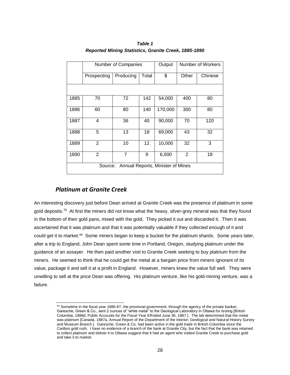<span id="page-28-1"></span>

|                                              | Number of Companies |           |       | Output  | Number of Workers |         |  |  |
|----------------------------------------------|---------------------|-----------|-------|---------|-------------------|---------|--|--|
|                                              | Prospecting         | Producing | Total | \$      | Other             | Chinese |  |  |
|                                              |                     |           |       |         |                   |         |  |  |
| 1885                                         | 70                  | 72        | 142   | 54,000  | 400               | 80      |  |  |
| 1886                                         | 60                  | 80        | 140   | 170,000 | 300               | 80      |  |  |
| 1887                                         | 4                   | 36        | 40    | 90,000  | 70                | 120     |  |  |
| 1888                                         | 5                   | 13        | 18    | 69,000  | 43                | 32      |  |  |
| 1889                                         | $\overline{2}$      | 10        | 12    | 10,000  | 32                | 3       |  |  |
| 1890                                         | 2                   | 7         | 9     | 6,000   | 2                 | 18      |  |  |
| Annual Reports, Minister of Mines<br>Source: |                     |           |       |         |                   |         |  |  |

*Table 1 Reported Mining Statistics, Granite Creek, 1885-1890*

## *Platinum at Granite Creek*

<span id="page-28-0"></span>An interesting discovery just before Dean arrived at Granite Creek was the presence of platinum in some gold deposits.<sup>70</sup> At first the miners did not know what the heavy, silver-grey mineral was that they found in the bottom of their gold pans, mixed with the gold. They picked it out and discarded it. Then it was ascertained that it was platinum and that it was potentially valuable if they collected enough of it and could get it to market.<sup>ee</sup> Some miners began to keep a bucket for the platinum shards. Some years later, after a trip to England, John Dean spent some time in Portland, Oregon, studying platinum under the guidance of an assayer. He then paid another visit to Granite Creek seeking to buy platinum from the miners. He seemed to think that he could get the metal at a bargain price from miners ignorant of its value, package it and sell it at a profit in England. However, miners knew the value full well. They were unwilling to sell at the price Dean was offering. His platinum venture, like his gold-mining venture, was a failure.

l ee Sometime in the fiscal year 1886-87, the provincial government, through the agency of the private banker, Garesche, Green & Co., sent 2 ounces of "white metal" to the Geological Laboratory in Ottawa for testing [British Columbia, 1888d, Public Accounts for the Fiscal Year ERnded June 30, 1887 ]. The lab determined that the metal was platinum [Canada, 1887a, Annual Report of the Department of the Interior; Geological and Natural History Survey and Museum Branch ]. Garesche, Green & Co. had been active in the gold trade in British Columbia since the Cariboo gold rush. I have no evidence of a branch of the bank at Granite City, but the fact that the bank was retained to collect platinum and deliver it to Ottawa suggest that it had an agent who visited Granite Creek to purchase gold and take it to market.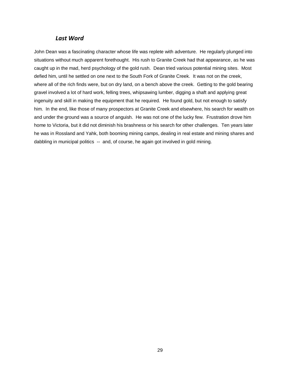### *Last Word*

<span id="page-29-0"></span>John Dean was a fascinating character whose life was replete with adventure. He regularly plunged into situations without much apparent forethought. His rush to Granite Creek had that appearance, as he was caught up in the mad, herd psychology of the gold rush. Dean tried various potential mining sites. Most defied him, until he settled on one next to the South Fork of Granite Creek. It was not on the creek, where all of the rich finds were, but on dry land, on a bench above the creek. Getting to the gold bearing gravel involved a lot of hard work, felling trees, whipsawing lumber, digging a shaft and applying great ingenuity and skill in making the equipment that he required. He found gold, but not enough to satisfy him. In the end, like those of many prospectors at Granite Creek and elsewhere, his search for wealth on and under the ground was a source of anguish. He was not one of the lucky few. Frustration drove him home to Victoria, but it did not diminish his brashness or his search for other challenges. Ten years later he was in Rossland and Yahk, both booming mining camps, dealing in real estate and mining shares and dabbling in municipal politics -- and, of course, he again got involved in gold mining.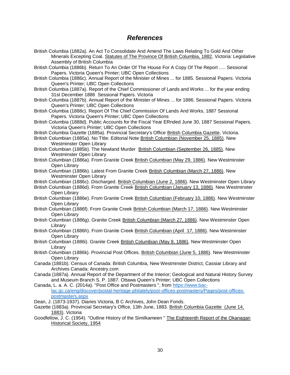## *References*

- <span id="page-30-0"></span>British Columbia (1882a). An Act To Consolidate And Amend The Laws Relating To Gold And Other Minerals Excepting Coal. Statutes of The Province Of British Columbia, 1882, Victoria: Legislative Assembly of British Columbia
- British Columbia (1886b). Return To An Order Of The House For A Copy Of The Report ..... Sessional Papers. Victoria Queen's Printer; UBC Open Collections
- British Columbia (1886c). Annual Report of the Minister of Mines ... for 1885. Sessional Papers. Victoria Queen's Printer; UBC Open Collections
- British Columbia (1887a). Report of the Chief Commissioner of Lands and Works ... for the year ending 31st December 1886 Sessional Papers. Victoria
- British Columbia (1887b). Annual Report of the Minister of Mines ... for 1886. Sessional Papers. Victoria Queen's Printer; UBC Open Collections
- British Columbia (1888c). Report Of The Chief Commission Of Lands And Works, 1887 Sessional Papers. Victoria Queen's Printer; UBC Open Collections
- British Columbia (1888d). Public Accounts for the Fiscal Year ERnded June 30, 1887 Sessional Papers. Victoria Queen's Printer; UBC Open Collections
- British Columbia Gazette (1885a). Provincial Secretary's Office British Columbia Gazette. Victoria.
- British Columbian (1885a). No TItle: Editorial Note British Columbian (November 25, 1885). New Westminster Open Library
- British Columbian (1885b). The Newland Murder British Columbian (September 26, 1885). New Westminster Open Library
- British Columbian (1886a). From Granite Creek British Columbian (May 29, 1886). New Westminster Open Library
- British Columbian (1886b). Latest From Granite Creek British Columbian (March 27, 1886). New Westminster Open Library
- British Columbian (1886c). Discharged. British Columbian (June 2, 1886). New Westminster Open Library
- British Columbian (1886d). From Granite Creek British Columbian (January 13, 1886). New Westminster Open Library
- British Columbian (1886e). From Granite Creek British Columbian (February 10, 1886). New Westminster Open Library
- British Columbian (1886f). From Granite Creek British Columbian (March 17, 1886). New Westminster Open Library
- British Columbian (1886g). Granite Creek British Columbian (March 27, 1886). New Westminster Open Library
- British Columbian (1886h). From Granite Creek British Columbian (April 17, 1886). New Westminster Open Library
- British Columbian (1886i). Granite Creek British Columbian (May 8, 1886). New Westminster Open Library
- British Columbian (1886k). Provincial Post Offices. British Columbian (June 5, 1886). New Westminster Open Library
- Canada (1881b). Census of Canada: British Columbia, New Westminster District, Cassiar Library and Archives Canada; Ancestry.com
- Canada (1887a). Annual Report of the Department of the Interior; Geological and Natural History Survey and Museum Branch S. P. 1887. Ottawa Queen's Printer; UBC Open Collections
- Canada, L. a. A. C. (2014a). "Post Office and Postmasters ", from [https://www.bac](https://www.bac-lac.gc.ca/eng/discover/postal-heritage-philately/post-offices-postmasters/Pages/post-offices-postmasters.aspx)[lac.gc.ca/eng/discover/postal-heritage-philately/post-offices-postmasters/Pages/post-offices](https://www.bac-lac.gc.ca/eng/discover/postal-heritage-philately/post-offices-postmasters/Pages/post-offices-postmasters.aspx)[postmasters.aspx](https://www.bac-lac.gc.ca/eng/discover/postal-heritage-philately/post-offices-postmasters/Pages/post-offices-postmasters.aspx)
- Dean, J. (1873-1937). Diaries Victoria, B C Archives, John Dean Fonds.
- Gazette (1883a). Provincial Secretary's Office, 13th June, 1883. British Columbia Gazette (June 14, 1883). Victoria
- Goodfellow, J. C. (1954). "Outline History of the Similkameen " The Eighteenth Report of the Okanagan Historical Society, 1954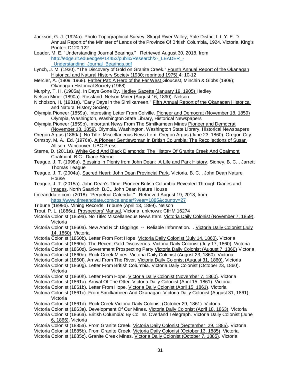- Jackson, G. J. (1924a). Photo-Topographical Survey, Skagit River Valley, Yale District f. t. Y. E. D. Annual Report of the Minister of Lands of the Province Of British Columbia, 1924. Victoria, King's Printer**:** D120-122
- Leader, M. E. "Understanding Journal Bearings." Retrieved August 30, 2018, from http://edge.rit.edu/edge/P14453/public/Research/2- LEADER -[\\_Understanding\\_Journal\\_Bearings.pdf](http://edge.rit.edu/edge/P14453/public/Research/2-_LEADER_-_Understanding_Journal_Bearings.pdf)
- Lynch, J. M. (1930). "The Discovery of Gold on Granite Creek." Fourth Annual Report of the Okanagan Historical and Natural History Society (1930; reprinted 1975) 4: 10-12
- Mercier, A. (1909; 1968). **Father Pat: A Hero of the Far West Gloucest**, Minchin & Gibbs (1909); Okanagan Historical Society (1968)
- Murphy, T. H. (1905a). In Days Gone By. Hedley Gazette (January 19, 1905) Hedley
- Nelson Miner (1890a). Rossland. Nelson Miner (August 16, 1890). Nelson
- Nicholson, H. (1931a). "Early Days in the Similkameen." Fifth Annual Report of the Okanagan Historical and Natural History Society
- Olympia Pioneer (1859a). Interesting Letter From Colville. Pioneer and Democrat (November 18, 1859) Olympia, Washington, Washington State Library, Historical Newspapers
- Olympia Pioneer (1859b). Important News From The Similkameen Mines Pioneer and Democrat (November 18, 1859). Olympia, Washington, Washington State Library, Historical Newspapers
- Oregon Argus (1860a). No Title: Miscellaneous News Item. Oregon Argus (June 23, 1860) Oregon City
- Ormsby, M. A., Ed. (1976a). A Pioneer Gentlewoman in British Columbia: The Recollections of Susan Allison Vancouver, UBC Press
- Sterne, D. (2011a). White Gold And Black Diamonds: The History Of Granite Creek And Coalmont Coalmont, B.C., Diane Sterne
- Teague, J. T. (1998a). Blessing in Plenty from John Dean: A Life and Park History. Sidney, B. C. , Jarrett Thomas Teague
- Teague, J. T. (2004a). Sacred Heart: John Dean Provincial Park. Victoria, B. C. , John Dean Nature **House**
- Teague, J. T. (2015a). John Dean's TIme: Pioneer British Columbia Revealed Through Diaries and Images. North Saanich, B.C., John Dean Nature House
- tImeanddate.com. (2018). "Perpetual Calendar." Retrieved August 19, 2018, from <https://www.timeanddate.com/calendar/?year=1885&country=27>
- Tribune (1899b). Mining Records. Tribune (April 13, 1899). Nelson
- Trout, P. L. (1886a). Prospectors' Manual. Victoria, unknown: CIHM 16274
- Victoria Colonist (1859a). No Title: Miscellaneous News Item. Victoria Daily Colonist (November 7, 1859). Victoria
- Victoria Colonist (1860a). New And Rich Diggings -- Reliable Information. . Victoria Daily Colonist (July 14, 1860). Victoria
- Victoria Colonist (1860b). Letter From Fort Hope. Victoria Daily Colonist (July 14, 1860). Victoria
- Victoria Colonist (1860c). The Recent Gold Discoveries. Victoria Daily Colonist (July 17, 1860). Victoria
- Victoria Colonist (1860d). Government Prospecting Party Victoria Daily Colonist (August 7, 1860) Victoria
- Victoria Colonist (1860e). Rock Creek Mines. Victoria Daily Colonist (August 23, 1860). Victoria
- Victoria Colonist (1860f). Arrival From The River. Victoria Daily Colonist (August 31, 1860). Victoria
- Victoria Colonist (1860g). Letter From British Columbia. Victoria Daily Colonist (October 23, 1860). Victoria
- Victoria Colonist (1860h). Letter From Hope. Victoria Daily Colonist (November 7, 1860). Victoria
- Victoria Colonist (1861a). Arrival Of The Otter. Victoria Daily Colonist (April 15, 1861). Victoria
- Victoria Colonist (1861b). Letter From Hope. Victoria Daily Colonist (April 15, 1861). Victoria
- Victoria Colonist (1861c). From Similkameen And Okanagan. Victoria Daily Colonist (August 31, 1861). Victoria
- Victoria Colonist (1861d). Rock Creek Victoria Daily Colonist (October 29, 1861). Victoria
- Victoria Colonist (1863a). Development Of Our Mines. Victoria Daily Colonist (April 18, 1863). Victoria
- Victoria Colonist (1866a). British Columbia: By Collins' Overland Telegraph. Victoria Daily Colonist (June 6, 1866). Victoria
- Victoria Colonist (1885a). From Granite Creek. Victoria Daily Colonist (September 29, 1885). Victoria Victoria Colonist (1885b). From Granite Creek. Victoria Daily Colonist (October 13, 1885). Victoria Victoria Colonist (1885c). Granite Creek Mines. Victoria Daily Colonist (October 7, 1885). Victoria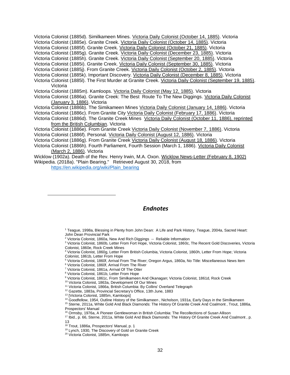Victoria Colonist (1885d). Similkameen Mines. Victoria Daily Colonist (October 14, 1885). Victoria Victoria Colonist (1885e). Granite Creek. Victoria Daily Colonist (October 14, 1885). Victoria Victoria Colonist (1885f). Granite Creek. Victoria Daily Colonist (October 21, 1885). Victoria Victoria Colonist (1885g). Granite Creek. Victoria Daily Colonist (December 23, 1885). Victoria Victoria Colonist (1885h). Granite Creek. Victoria Daily Colonist (September 20, 1885). Victoria Victoria Colonist (1885i). Granite Creek. Victoria Daily Colonist (September 30, 1885). Victoria Victoria Colonist (1885j). From Granite Creek. Victoria Daily Colonist (October 2, 1885). Victoria Victoria Colonist (1885k). Important Discovery. Victoria Daily Colonist (December 8, 1885). Victoria Victoria Colonist (1885l). The First Murder at Granite Creek. Victoria Daily Colonist (September 19, 1885). Victoria Victoria Colonist (1885m). Kamloops. Victoria Daily Colonist (May 12, 1885). Victoria Victoria Colonist (1886a). Granite Creek: The Best Route To The New Diggings. Victoria Daily Colonist (January 3, 1886). Victoria Victoria Colonist (1886b). The Simikameen Mines Victoria Daily Colonist (January 14, 1886). Victoria Victoria Colonist (1886c). From Granite City Victoria Daily Colonist (February 17, 1886). Victoria Victoria Colonist (1886d). The Granite Creek Mines Victoria Daily Colonist (October 11, 1886), reprinted from the British Columbian. Victoria Victoria Colonist (1886e). From Granite Creek Victoria Daily Colonist (November 7, 1886). Victoria Victoria Colonist (1886f). Personal. Victoria Daily Colonist (August 12, 1886). Victoria Victoria Colonist (1886g). From Granite Creek Victoria Daily Colonist (August 18, 1886). Victoria Victoria Colonist (1886h). Fourth Parliament, Fourth Session (March 1, 1886). Victoria Daily Colonist (March 2, 1886). Victoria Wicklow (1902a). Death of the Rev. Henry Irwin, M.A. Oxon. Wicklow News-Letter (February 8, 1902)

Wikipedia. (2018a). "Plain Bearing." Retrieved August 30, 2018, from [https://en.wikipedia.org/wiki/Plain\\_bearing](https://en.wikipedia.org/wiki/Plain_bearing)

## *Endnotes*

<sup>1</sup> Teague, 1998a, Blessing in Plenty from John Dean: A Life and Park History, Teague, 2004a, Sacred Heart: John Dean Provincial Park

<sup>2</sup> Victoria Colonist, 1860a, New And Rich Diggings -- Reliable Information

<sup>3</sup> Victoria Colonist, 1860b, Letter From Fort Hope, Victoria Colonist, 1860c, The Recent Gold Discoveries, Victoria Colonist, 1860e, Rock Creek Mines

<sup>4</sup> Victoria Colonist, 1860g, Letter From British Columbia, Victoria Colonist, 1860h, Letter From Hope; Victoria Colonist, 1861b, Letter From Hope

<sup>5</sup> Victoria Colonist, 1860f, Arrival From The River; Oregon Argus, 1860a, No Title: Miscellaneous News Item

<sup>6</sup> Victoria Colonist, 1860f, Arrival From The River

<sup>7</sup> Victoria Colonist, 1861a, Arrival Of The Otter

 $\overline{a}$ 

<sup>8</sup> Victoria Colonist, 1861b, Letter From Hope

9 Victoria Colonist, 1861c, From Similkameen And Okanagan; Victoria Colonist, 1861d, Rock Creek

<sup>10</sup> Victoria Colonist, 1863a, Development Of Our Mines

<sup>11</sup> Victoria Colonist, 1866a, British Columbia: By Collins' Overland Telegraph

<sup>12</sup> Gazette, 1883a, Provincial Secretary's Office, 13th June, 1883

<sup>13</sup> [Victoria Colonist, 1885m, Kamloops]

<sup>14</sup> Goodfellow, 1954, Outline History of the Similkameen, Nicholson, 1931a, Early Days in the Similkameen

<sup>15</sup> Sterne, 2011a, White Gold And Black Diamonds: The History Of Granite Creek And Coalmont, Trout, 1886a, Prospectors' Manual

<sup>16</sup> Ormsby, 1976a, A Pioneer Gentlewoman in British Columbia: The Recollections of Susan Allison

<sup>17</sup> Ibid., p. 66, Sterne, 2011a, White Gold And Black Diamonds: The History Of Granite Creek And Coalmont , p. 13

<sup>18</sup> Trout, 1886a, Prospectors' Manual, p. 1

<sup>19</sup> Lynch, 1930, The Discovery of Gold on Granite Creek

<sup>20</sup> Victoria Colonist, 1885m, Kamloops